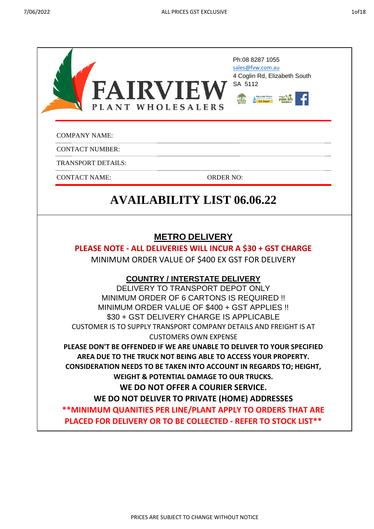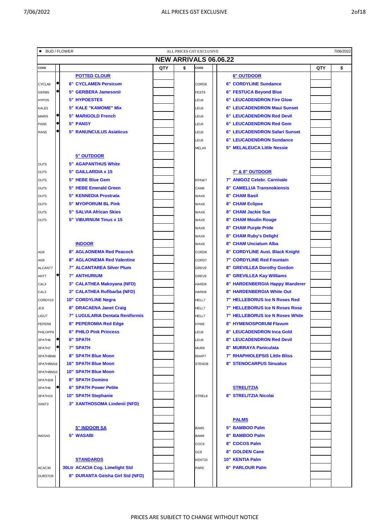| × |
|---|
|   |

| <b>NEW ARRIVALS 06.06.22</b><br>QTY<br>\$<br>QTY<br>\$<br>CODE<br>CODE<br><b>POTTED CLOUR</b><br><b>6" OUTDOOR</b><br><b>6" CORDYLINE Sundance</b><br><b>6" CYCLAMEN Persicum</b><br>CYCLA6<br>CORD6<br>5" GERBERA Jamesonii<br>6" FESTUCA Beyond Blue<br>GERB5<br>FEST6<br><b>5" HYPOESTES</b><br><b>6" LEUCADENDRON Fire Glow</b><br>LEU6<br>HYPO <sub>5</sub><br>5" KALE "KAMOME" Mix<br>6" LEUCADENDRON Maui Sunset<br>KALE5<br>LEU6<br><b>5" MARIGOLD French</b><br><b>6" LEUCADENDRON Red Devil</b><br>MARI5<br>LEU6<br><b>5" PANSY</b><br><b>6" LEUCADENDRON Red Gem</b><br>PAN5<br>LEU6<br><b>5" RANUNCULUS Asiaticus</b><br>6" LEUCADENDRON Safari Sunset<br>RAN5<br>LEU6<br><b>6" LEUCADENDRON Sundance</b><br>LEU6<br><b>5" MELALEUCA Little Nessie</b><br>MELA5<br><b>5" OUTDOOR</b><br><b>5" AGAPANTHUS White</b><br>OUT5<br>5" GAILLARDIA x 15<br><b>7" &amp; 8" OUTDOOR</b><br>OUT5<br>7" ANIGOZ Celebr. Carnivale<br>5" HEBE Blue Gem<br>OUT5<br>KPAW7<br><b>8" CAMELLIA Transnokiensis</b><br><b>5" HEBE Emerald Green</b><br>OUT5<br>CAM <sub>8</sub><br><b>5" KENNEDIA Prostrata</b><br><b>8" CHAM Basil</b><br>OUT5<br>WAX8<br><b>5" MYOPORUM BL Pink</b><br><b>8" CHAM Eclipse</b><br>OUT5<br>WAX8<br><b>8" CHAM Jackie Sue</b><br><b>5" SALVIA African Skies</b><br>OUT5<br>WAX8<br>5" VIBURNUM Tinus x 15<br><b>8" CHAM Moulin Rouge</b><br>OUT5<br>WAX8<br><b>8" CHAM Purple Pride</b><br>WAX8<br><b>8" CHAM Ruby's Delight</b><br>WAX8<br><b>INDOOR</b><br>8" CHAM Unciatum Alba<br>WAX8<br><b>8" AGLAONEMA Red Peacock</b><br>8" CORDYLINE Aust. Black Knight<br>AG8<br>CORD8<br><b>8" AGLAONEMA Red Valentine</b><br><b>7" CORDYLINE Red Fountain</b><br>AG8<br>CORD7<br><b>7" ALCANTAREA Silver Plum</b><br>8"<br><b>GREVILLEA Dorothy Gordon</b><br>ALCANT7<br>GREV8<br><b>7" ANTHURIUM</b><br>8" GREVILLEA Kay Williams<br>ANT7<br>GREV8<br>3" CALATHEA Makoyana (NFD)<br>8" HARDENBERGIA Happy Wanderer<br>CAL <sub>3</sub><br>HARD8<br>3" CALATHEA Rufibarba (NFD)<br>8" HARDENBERGIA White Out<br>CAL <sub>3</sub><br>HARD8<br>7" HELLEBORUS Ice N Roses Red<br><b>10" CORDYLINE Negra</b><br>CORDY10<br>HELL7<br>8" DRACAENA Janet Craig<br><b>7" HELLEBORUS Ice N Roses Rose</b><br>JC8<br>HELL7<br>7" LUGULARIA Dentata Reniformis<br>7" HELLEBORUS Ice N Roses White<br>HELL7<br>LIGU7<br>8" PEPEROMIA Red Edge<br>8" HYMENOSPORUM Flavum<br>PEPER8<br>HYM8<br><b>6" PHILO Pink Princess</b><br>8" LEUCADENDRON Inca Gold<br>PHILOPP6<br>LEU8<br><b>8" LEUCADENDRON Red Devil</b><br>6" SPATH<br>SPATH6<br>LEU8<br><b>7" SPATH</b><br>$\bullet$<br>8" MURRAYA Paniculata<br>SPATH7<br>MUR8<br><b>7" RHAPHIOLEPSIS Little Bliss</b><br>8" SPATH Blue Moon<br>SPATHBM8<br>RHAP7<br><b>16" SPATH Blue Moon</b><br><b>8" STENOCARPUS Sinuatus</b><br>SPATHBM16<br>STENO8<br><b>10" SPATH Blue Moon</b><br>SPATHBM10<br><b>8" SPATH Domino</b><br>SPATHD8<br><b>6" SPATH Power Petite</b><br><b>STRELITZIA</b><br>SPATH6<br><b>10" SPATH Stephanie</b><br>8" STRELITZIA Nicolai<br>SPATH10<br>STREL8<br>3" XANTHOSOMA Lindenii (NFD)<br>XANT3<br><b>PALMS</b><br><b>5" INDOOR SA</b><br>5" BAMBOO Palm<br>BAM5<br><b>5" WASABI</b><br>8" BAMBOO Palm<br>INDSA5<br>BAM8<br>8" COCOS Palm<br>COC8<br><b>8" GOLDEN Cane</b><br>GC <sub>8</sub><br><b>STANDARDS</b><br>10" KENTIA Palm<br>KENT10<br><b>30Ltr ACACIA Cog. Limelight Std</b><br>6" PARLOUR Palm<br>ACAC30<br>PAR6<br>8" DURANTA Geisha Girl Std (NFD)<br>DURSTD8 | ٠ | <b>BUD / FLOWER</b> |  | ALL PRICES GST EXCLUSIVE |  | 7/06/2022 |
|------------------------------------------------------------------------------------------------------------------------------------------------------------------------------------------------------------------------------------------------------------------------------------------------------------------------------------------------------------------------------------------------------------------------------------------------------------------------------------------------------------------------------------------------------------------------------------------------------------------------------------------------------------------------------------------------------------------------------------------------------------------------------------------------------------------------------------------------------------------------------------------------------------------------------------------------------------------------------------------------------------------------------------------------------------------------------------------------------------------------------------------------------------------------------------------------------------------------------------------------------------------------------------------------------------------------------------------------------------------------------------------------------------------------------------------------------------------------------------------------------------------------------------------------------------------------------------------------------------------------------------------------------------------------------------------------------------------------------------------------------------------------------------------------------------------------------------------------------------------------------------------------------------------------------------------------------------------------------------------------------------------------------------------------------------------------------------------------------------------------------------------------------------------------------------------------------------------------------------------------------------------------------------------------------------------------------------------------------------------------------------------------------------------------------------------------------------------------------------------------------------------------------------------------------------------------------------------------------------------------------------------------------------------------------------------------------------------------------------------------------------------------------------------------------------------------------------------------------------------------------------------------------------------------------------------------------------------------------------------------------------------------------------------------------------------------------------------------------------------------------------------------------------------------------------------------------------------------------------------------------------------------------------------------------------------------------------------------------------------------------------------------------------------------------------------------------------|---|---------------------|--|--------------------------|--|-----------|
|                                                                                                                                                                                                                                                                                                                                                                                                                                                                                                                                                                                                                                                                                                                                                                                                                                                                                                                                                                                                                                                                                                                                                                                                                                                                                                                                                                                                                                                                                                                                                                                                                                                                                                                                                                                                                                                                                                                                                                                                                                                                                                                                                                                                                                                                                                                                                                                                                                                                                                                                                                                                                                                                                                                                                                                                                                                                                                                                                                                                                                                                                                                                                                                                                                                                                                                                                                                                                                                            |   |                     |  |                          |  |           |
|                                                                                                                                                                                                                                                                                                                                                                                                                                                                                                                                                                                                                                                                                                                                                                                                                                                                                                                                                                                                                                                                                                                                                                                                                                                                                                                                                                                                                                                                                                                                                                                                                                                                                                                                                                                                                                                                                                                                                                                                                                                                                                                                                                                                                                                                                                                                                                                                                                                                                                                                                                                                                                                                                                                                                                                                                                                                                                                                                                                                                                                                                                                                                                                                                                                                                                                                                                                                                                                            |   |                     |  |                          |  |           |
|                                                                                                                                                                                                                                                                                                                                                                                                                                                                                                                                                                                                                                                                                                                                                                                                                                                                                                                                                                                                                                                                                                                                                                                                                                                                                                                                                                                                                                                                                                                                                                                                                                                                                                                                                                                                                                                                                                                                                                                                                                                                                                                                                                                                                                                                                                                                                                                                                                                                                                                                                                                                                                                                                                                                                                                                                                                                                                                                                                                                                                                                                                                                                                                                                                                                                                                                                                                                                                                            |   |                     |  |                          |  |           |
|                                                                                                                                                                                                                                                                                                                                                                                                                                                                                                                                                                                                                                                                                                                                                                                                                                                                                                                                                                                                                                                                                                                                                                                                                                                                                                                                                                                                                                                                                                                                                                                                                                                                                                                                                                                                                                                                                                                                                                                                                                                                                                                                                                                                                                                                                                                                                                                                                                                                                                                                                                                                                                                                                                                                                                                                                                                                                                                                                                                                                                                                                                                                                                                                                                                                                                                                                                                                                                                            |   |                     |  |                          |  |           |
|                                                                                                                                                                                                                                                                                                                                                                                                                                                                                                                                                                                                                                                                                                                                                                                                                                                                                                                                                                                                                                                                                                                                                                                                                                                                                                                                                                                                                                                                                                                                                                                                                                                                                                                                                                                                                                                                                                                                                                                                                                                                                                                                                                                                                                                                                                                                                                                                                                                                                                                                                                                                                                                                                                                                                                                                                                                                                                                                                                                                                                                                                                                                                                                                                                                                                                                                                                                                                                                            |   |                     |  |                          |  |           |
|                                                                                                                                                                                                                                                                                                                                                                                                                                                                                                                                                                                                                                                                                                                                                                                                                                                                                                                                                                                                                                                                                                                                                                                                                                                                                                                                                                                                                                                                                                                                                                                                                                                                                                                                                                                                                                                                                                                                                                                                                                                                                                                                                                                                                                                                                                                                                                                                                                                                                                                                                                                                                                                                                                                                                                                                                                                                                                                                                                                                                                                                                                                                                                                                                                                                                                                                                                                                                                                            |   |                     |  |                          |  |           |
|                                                                                                                                                                                                                                                                                                                                                                                                                                                                                                                                                                                                                                                                                                                                                                                                                                                                                                                                                                                                                                                                                                                                                                                                                                                                                                                                                                                                                                                                                                                                                                                                                                                                                                                                                                                                                                                                                                                                                                                                                                                                                                                                                                                                                                                                                                                                                                                                                                                                                                                                                                                                                                                                                                                                                                                                                                                                                                                                                                                                                                                                                                                                                                                                                                                                                                                                                                                                                                                            |   |                     |  |                          |  |           |
|                                                                                                                                                                                                                                                                                                                                                                                                                                                                                                                                                                                                                                                                                                                                                                                                                                                                                                                                                                                                                                                                                                                                                                                                                                                                                                                                                                                                                                                                                                                                                                                                                                                                                                                                                                                                                                                                                                                                                                                                                                                                                                                                                                                                                                                                                                                                                                                                                                                                                                                                                                                                                                                                                                                                                                                                                                                                                                                                                                                                                                                                                                                                                                                                                                                                                                                                                                                                                                                            |   |                     |  |                          |  |           |
|                                                                                                                                                                                                                                                                                                                                                                                                                                                                                                                                                                                                                                                                                                                                                                                                                                                                                                                                                                                                                                                                                                                                                                                                                                                                                                                                                                                                                                                                                                                                                                                                                                                                                                                                                                                                                                                                                                                                                                                                                                                                                                                                                                                                                                                                                                                                                                                                                                                                                                                                                                                                                                                                                                                                                                                                                                                                                                                                                                                                                                                                                                                                                                                                                                                                                                                                                                                                                                                            |   |                     |  |                          |  |           |
|                                                                                                                                                                                                                                                                                                                                                                                                                                                                                                                                                                                                                                                                                                                                                                                                                                                                                                                                                                                                                                                                                                                                                                                                                                                                                                                                                                                                                                                                                                                                                                                                                                                                                                                                                                                                                                                                                                                                                                                                                                                                                                                                                                                                                                                                                                                                                                                                                                                                                                                                                                                                                                                                                                                                                                                                                                                                                                                                                                                                                                                                                                                                                                                                                                                                                                                                                                                                                                                            |   |                     |  |                          |  |           |
|                                                                                                                                                                                                                                                                                                                                                                                                                                                                                                                                                                                                                                                                                                                                                                                                                                                                                                                                                                                                                                                                                                                                                                                                                                                                                                                                                                                                                                                                                                                                                                                                                                                                                                                                                                                                                                                                                                                                                                                                                                                                                                                                                                                                                                                                                                                                                                                                                                                                                                                                                                                                                                                                                                                                                                                                                                                                                                                                                                                                                                                                                                                                                                                                                                                                                                                                                                                                                                                            |   |                     |  |                          |  |           |
|                                                                                                                                                                                                                                                                                                                                                                                                                                                                                                                                                                                                                                                                                                                                                                                                                                                                                                                                                                                                                                                                                                                                                                                                                                                                                                                                                                                                                                                                                                                                                                                                                                                                                                                                                                                                                                                                                                                                                                                                                                                                                                                                                                                                                                                                                                                                                                                                                                                                                                                                                                                                                                                                                                                                                                                                                                                                                                                                                                                                                                                                                                                                                                                                                                                                                                                                                                                                                                                            |   |                     |  |                          |  |           |
|                                                                                                                                                                                                                                                                                                                                                                                                                                                                                                                                                                                                                                                                                                                                                                                                                                                                                                                                                                                                                                                                                                                                                                                                                                                                                                                                                                                                                                                                                                                                                                                                                                                                                                                                                                                                                                                                                                                                                                                                                                                                                                                                                                                                                                                                                                                                                                                                                                                                                                                                                                                                                                                                                                                                                                                                                                                                                                                                                                                                                                                                                                                                                                                                                                                                                                                                                                                                                                                            |   |                     |  |                          |  |           |
|                                                                                                                                                                                                                                                                                                                                                                                                                                                                                                                                                                                                                                                                                                                                                                                                                                                                                                                                                                                                                                                                                                                                                                                                                                                                                                                                                                                                                                                                                                                                                                                                                                                                                                                                                                                                                                                                                                                                                                                                                                                                                                                                                                                                                                                                                                                                                                                                                                                                                                                                                                                                                                                                                                                                                                                                                                                                                                                                                                                                                                                                                                                                                                                                                                                                                                                                                                                                                                                            |   |                     |  |                          |  |           |
|                                                                                                                                                                                                                                                                                                                                                                                                                                                                                                                                                                                                                                                                                                                                                                                                                                                                                                                                                                                                                                                                                                                                                                                                                                                                                                                                                                                                                                                                                                                                                                                                                                                                                                                                                                                                                                                                                                                                                                                                                                                                                                                                                                                                                                                                                                                                                                                                                                                                                                                                                                                                                                                                                                                                                                                                                                                                                                                                                                                                                                                                                                                                                                                                                                                                                                                                                                                                                                                            |   |                     |  |                          |  |           |
|                                                                                                                                                                                                                                                                                                                                                                                                                                                                                                                                                                                                                                                                                                                                                                                                                                                                                                                                                                                                                                                                                                                                                                                                                                                                                                                                                                                                                                                                                                                                                                                                                                                                                                                                                                                                                                                                                                                                                                                                                                                                                                                                                                                                                                                                                                                                                                                                                                                                                                                                                                                                                                                                                                                                                                                                                                                                                                                                                                                                                                                                                                                                                                                                                                                                                                                                                                                                                                                            |   |                     |  |                          |  |           |
|                                                                                                                                                                                                                                                                                                                                                                                                                                                                                                                                                                                                                                                                                                                                                                                                                                                                                                                                                                                                                                                                                                                                                                                                                                                                                                                                                                                                                                                                                                                                                                                                                                                                                                                                                                                                                                                                                                                                                                                                                                                                                                                                                                                                                                                                                                                                                                                                                                                                                                                                                                                                                                                                                                                                                                                                                                                                                                                                                                                                                                                                                                                                                                                                                                                                                                                                                                                                                                                            |   |                     |  |                          |  |           |
|                                                                                                                                                                                                                                                                                                                                                                                                                                                                                                                                                                                                                                                                                                                                                                                                                                                                                                                                                                                                                                                                                                                                                                                                                                                                                                                                                                                                                                                                                                                                                                                                                                                                                                                                                                                                                                                                                                                                                                                                                                                                                                                                                                                                                                                                                                                                                                                                                                                                                                                                                                                                                                                                                                                                                                                                                                                                                                                                                                                                                                                                                                                                                                                                                                                                                                                                                                                                                                                            |   |                     |  |                          |  |           |
|                                                                                                                                                                                                                                                                                                                                                                                                                                                                                                                                                                                                                                                                                                                                                                                                                                                                                                                                                                                                                                                                                                                                                                                                                                                                                                                                                                                                                                                                                                                                                                                                                                                                                                                                                                                                                                                                                                                                                                                                                                                                                                                                                                                                                                                                                                                                                                                                                                                                                                                                                                                                                                                                                                                                                                                                                                                                                                                                                                                                                                                                                                                                                                                                                                                                                                                                                                                                                                                            |   |                     |  |                          |  |           |
|                                                                                                                                                                                                                                                                                                                                                                                                                                                                                                                                                                                                                                                                                                                                                                                                                                                                                                                                                                                                                                                                                                                                                                                                                                                                                                                                                                                                                                                                                                                                                                                                                                                                                                                                                                                                                                                                                                                                                                                                                                                                                                                                                                                                                                                                                                                                                                                                                                                                                                                                                                                                                                                                                                                                                                                                                                                                                                                                                                                                                                                                                                                                                                                                                                                                                                                                                                                                                                                            |   |                     |  |                          |  |           |
|                                                                                                                                                                                                                                                                                                                                                                                                                                                                                                                                                                                                                                                                                                                                                                                                                                                                                                                                                                                                                                                                                                                                                                                                                                                                                                                                                                                                                                                                                                                                                                                                                                                                                                                                                                                                                                                                                                                                                                                                                                                                                                                                                                                                                                                                                                                                                                                                                                                                                                                                                                                                                                                                                                                                                                                                                                                                                                                                                                                                                                                                                                                                                                                                                                                                                                                                                                                                                                                            |   |                     |  |                          |  |           |
|                                                                                                                                                                                                                                                                                                                                                                                                                                                                                                                                                                                                                                                                                                                                                                                                                                                                                                                                                                                                                                                                                                                                                                                                                                                                                                                                                                                                                                                                                                                                                                                                                                                                                                                                                                                                                                                                                                                                                                                                                                                                                                                                                                                                                                                                                                                                                                                                                                                                                                                                                                                                                                                                                                                                                                                                                                                                                                                                                                                                                                                                                                                                                                                                                                                                                                                                                                                                                                                            |   |                     |  |                          |  |           |
|                                                                                                                                                                                                                                                                                                                                                                                                                                                                                                                                                                                                                                                                                                                                                                                                                                                                                                                                                                                                                                                                                                                                                                                                                                                                                                                                                                                                                                                                                                                                                                                                                                                                                                                                                                                                                                                                                                                                                                                                                                                                                                                                                                                                                                                                                                                                                                                                                                                                                                                                                                                                                                                                                                                                                                                                                                                                                                                                                                                                                                                                                                                                                                                                                                                                                                                                                                                                                                                            |   |                     |  |                          |  |           |
|                                                                                                                                                                                                                                                                                                                                                                                                                                                                                                                                                                                                                                                                                                                                                                                                                                                                                                                                                                                                                                                                                                                                                                                                                                                                                                                                                                                                                                                                                                                                                                                                                                                                                                                                                                                                                                                                                                                                                                                                                                                                                                                                                                                                                                                                                                                                                                                                                                                                                                                                                                                                                                                                                                                                                                                                                                                                                                                                                                                                                                                                                                                                                                                                                                                                                                                                                                                                                                                            |   |                     |  |                          |  |           |
|                                                                                                                                                                                                                                                                                                                                                                                                                                                                                                                                                                                                                                                                                                                                                                                                                                                                                                                                                                                                                                                                                                                                                                                                                                                                                                                                                                                                                                                                                                                                                                                                                                                                                                                                                                                                                                                                                                                                                                                                                                                                                                                                                                                                                                                                                                                                                                                                                                                                                                                                                                                                                                                                                                                                                                                                                                                                                                                                                                                                                                                                                                                                                                                                                                                                                                                                                                                                                                                            |   |                     |  |                          |  |           |
|                                                                                                                                                                                                                                                                                                                                                                                                                                                                                                                                                                                                                                                                                                                                                                                                                                                                                                                                                                                                                                                                                                                                                                                                                                                                                                                                                                                                                                                                                                                                                                                                                                                                                                                                                                                                                                                                                                                                                                                                                                                                                                                                                                                                                                                                                                                                                                                                                                                                                                                                                                                                                                                                                                                                                                                                                                                                                                                                                                                                                                                                                                                                                                                                                                                                                                                                                                                                                                                            |   |                     |  |                          |  |           |
|                                                                                                                                                                                                                                                                                                                                                                                                                                                                                                                                                                                                                                                                                                                                                                                                                                                                                                                                                                                                                                                                                                                                                                                                                                                                                                                                                                                                                                                                                                                                                                                                                                                                                                                                                                                                                                                                                                                                                                                                                                                                                                                                                                                                                                                                                                                                                                                                                                                                                                                                                                                                                                                                                                                                                                                                                                                                                                                                                                                                                                                                                                                                                                                                                                                                                                                                                                                                                                                            |   |                     |  |                          |  |           |
|                                                                                                                                                                                                                                                                                                                                                                                                                                                                                                                                                                                                                                                                                                                                                                                                                                                                                                                                                                                                                                                                                                                                                                                                                                                                                                                                                                                                                                                                                                                                                                                                                                                                                                                                                                                                                                                                                                                                                                                                                                                                                                                                                                                                                                                                                                                                                                                                                                                                                                                                                                                                                                                                                                                                                                                                                                                                                                                                                                                                                                                                                                                                                                                                                                                                                                                                                                                                                                                            |   |                     |  |                          |  |           |
|                                                                                                                                                                                                                                                                                                                                                                                                                                                                                                                                                                                                                                                                                                                                                                                                                                                                                                                                                                                                                                                                                                                                                                                                                                                                                                                                                                                                                                                                                                                                                                                                                                                                                                                                                                                                                                                                                                                                                                                                                                                                                                                                                                                                                                                                                                                                                                                                                                                                                                                                                                                                                                                                                                                                                                                                                                                                                                                                                                                                                                                                                                                                                                                                                                                                                                                                                                                                                                                            |   |                     |  |                          |  |           |
|                                                                                                                                                                                                                                                                                                                                                                                                                                                                                                                                                                                                                                                                                                                                                                                                                                                                                                                                                                                                                                                                                                                                                                                                                                                                                                                                                                                                                                                                                                                                                                                                                                                                                                                                                                                                                                                                                                                                                                                                                                                                                                                                                                                                                                                                                                                                                                                                                                                                                                                                                                                                                                                                                                                                                                                                                                                                                                                                                                                                                                                                                                                                                                                                                                                                                                                                                                                                                                                            |   |                     |  |                          |  |           |
|                                                                                                                                                                                                                                                                                                                                                                                                                                                                                                                                                                                                                                                                                                                                                                                                                                                                                                                                                                                                                                                                                                                                                                                                                                                                                                                                                                                                                                                                                                                                                                                                                                                                                                                                                                                                                                                                                                                                                                                                                                                                                                                                                                                                                                                                                                                                                                                                                                                                                                                                                                                                                                                                                                                                                                                                                                                                                                                                                                                                                                                                                                                                                                                                                                                                                                                                                                                                                                                            |   |                     |  |                          |  |           |
|                                                                                                                                                                                                                                                                                                                                                                                                                                                                                                                                                                                                                                                                                                                                                                                                                                                                                                                                                                                                                                                                                                                                                                                                                                                                                                                                                                                                                                                                                                                                                                                                                                                                                                                                                                                                                                                                                                                                                                                                                                                                                                                                                                                                                                                                                                                                                                                                                                                                                                                                                                                                                                                                                                                                                                                                                                                                                                                                                                                                                                                                                                                                                                                                                                                                                                                                                                                                                                                            |   |                     |  |                          |  |           |
|                                                                                                                                                                                                                                                                                                                                                                                                                                                                                                                                                                                                                                                                                                                                                                                                                                                                                                                                                                                                                                                                                                                                                                                                                                                                                                                                                                                                                                                                                                                                                                                                                                                                                                                                                                                                                                                                                                                                                                                                                                                                                                                                                                                                                                                                                                                                                                                                                                                                                                                                                                                                                                                                                                                                                                                                                                                                                                                                                                                                                                                                                                                                                                                                                                                                                                                                                                                                                                                            |   |                     |  |                          |  |           |
|                                                                                                                                                                                                                                                                                                                                                                                                                                                                                                                                                                                                                                                                                                                                                                                                                                                                                                                                                                                                                                                                                                                                                                                                                                                                                                                                                                                                                                                                                                                                                                                                                                                                                                                                                                                                                                                                                                                                                                                                                                                                                                                                                                                                                                                                                                                                                                                                                                                                                                                                                                                                                                                                                                                                                                                                                                                                                                                                                                                                                                                                                                                                                                                                                                                                                                                                                                                                                                                            |   |                     |  |                          |  |           |
|                                                                                                                                                                                                                                                                                                                                                                                                                                                                                                                                                                                                                                                                                                                                                                                                                                                                                                                                                                                                                                                                                                                                                                                                                                                                                                                                                                                                                                                                                                                                                                                                                                                                                                                                                                                                                                                                                                                                                                                                                                                                                                                                                                                                                                                                                                                                                                                                                                                                                                                                                                                                                                                                                                                                                                                                                                                                                                                                                                                                                                                                                                                                                                                                                                                                                                                                                                                                                                                            |   |                     |  |                          |  |           |
|                                                                                                                                                                                                                                                                                                                                                                                                                                                                                                                                                                                                                                                                                                                                                                                                                                                                                                                                                                                                                                                                                                                                                                                                                                                                                                                                                                                                                                                                                                                                                                                                                                                                                                                                                                                                                                                                                                                                                                                                                                                                                                                                                                                                                                                                                                                                                                                                                                                                                                                                                                                                                                                                                                                                                                                                                                                                                                                                                                                                                                                                                                                                                                                                                                                                                                                                                                                                                                                            |   |                     |  |                          |  |           |
|                                                                                                                                                                                                                                                                                                                                                                                                                                                                                                                                                                                                                                                                                                                                                                                                                                                                                                                                                                                                                                                                                                                                                                                                                                                                                                                                                                                                                                                                                                                                                                                                                                                                                                                                                                                                                                                                                                                                                                                                                                                                                                                                                                                                                                                                                                                                                                                                                                                                                                                                                                                                                                                                                                                                                                                                                                                                                                                                                                                                                                                                                                                                                                                                                                                                                                                                                                                                                                                            |   |                     |  |                          |  |           |
|                                                                                                                                                                                                                                                                                                                                                                                                                                                                                                                                                                                                                                                                                                                                                                                                                                                                                                                                                                                                                                                                                                                                                                                                                                                                                                                                                                                                                                                                                                                                                                                                                                                                                                                                                                                                                                                                                                                                                                                                                                                                                                                                                                                                                                                                                                                                                                                                                                                                                                                                                                                                                                                                                                                                                                                                                                                                                                                                                                                                                                                                                                                                                                                                                                                                                                                                                                                                                                                            |   |                     |  |                          |  |           |
|                                                                                                                                                                                                                                                                                                                                                                                                                                                                                                                                                                                                                                                                                                                                                                                                                                                                                                                                                                                                                                                                                                                                                                                                                                                                                                                                                                                                                                                                                                                                                                                                                                                                                                                                                                                                                                                                                                                                                                                                                                                                                                                                                                                                                                                                                                                                                                                                                                                                                                                                                                                                                                                                                                                                                                                                                                                                                                                                                                                                                                                                                                                                                                                                                                                                                                                                                                                                                                                            |   |                     |  |                          |  |           |
|                                                                                                                                                                                                                                                                                                                                                                                                                                                                                                                                                                                                                                                                                                                                                                                                                                                                                                                                                                                                                                                                                                                                                                                                                                                                                                                                                                                                                                                                                                                                                                                                                                                                                                                                                                                                                                                                                                                                                                                                                                                                                                                                                                                                                                                                                                                                                                                                                                                                                                                                                                                                                                                                                                                                                                                                                                                                                                                                                                                                                                                                                                                                                                                                                                                                                                                                                                                                                                                            |   |                     |  |                          |  |           |
|                                                                                                                                                                                                                                                                                                                                                                                                                                                                                                                                                                                                                                                                                                                                                                                                                                                                                                                                                                                                                                                                                                                                                                                                                                                                                                                                                                                                                                                                                                                                                                                                                                                                                                                                                                                                                                                                                                                                                                                                                                                                                                                                                                                                                                                                                                                                                                                                                                                                                                                                                                                                                                                                                                                                                                                                                                                                                                                                                                                                                                                                                                                                                                                                                                                                                                                                                                                                                                                            |   |                     |  |                          |  |           |
|                                                                                                                                                                                                                                                                                                                                                                                                                                                                                                                                                                                                                                                                                                                                                                                                                                                                                                                                                                                                                                                                                                                                                                                                                                                                                                                                                                                                                                                                                                                                                                                                                                                                                                                                                                                                                                                                                                                                                                                                                                                                                                                                                                                                                                                                                                                                                                                                                                                                                                                                                                                                                                                                                                                                                                                                                                                                                                                                                                                                                                                                                                                                                                                                                                                                                                                                                                                                                                                            |   |                     |  |                          |  |           |
|                                                                                                                                                                                                                                                                                                                                                                                                                                                                                                                                                                                                                                                                                                                                                                                                                                                                                                                                                                                                                                                                                                                                                                                                                                                                                                                                                                                                                                                                                                                                                                                                                                                                                                                                                                                                                                                                                                                                                                                                                                                                                                                                                                                                                                                                                                                                                                                                                                                                                                                                                                                                                                                                                                                                                                                                                                                                                                                                                                                                                                                                                                                                                                                                                                                                                                                                                                                                                                                            |   |                     |  |                          |  |           |
|                                                                                                                                                                                                                                                                                                                                                                                                                                                                                                                                                                                                                                                                                                                                                                                                                                                                                                                                                                                                                                                                                                                                                                                                                                                                                                                                                                                                                                                                                                                                                                                                                                                                                                                                                                                                                                                                                                                                                                                                                                                                                                                                                                                                                                                                                                                                                                                                                                                                                                                                                                                                                                                                                                                                                                                                                                                                                                                                                                                                                                                                                                                                                                                                                                                                                                                                                                                                                                                            |   |                     |  |                          |  |           |
|                                                                                                                                                                                                                                                                                                                                                                                                                                                                                                                                                                                                                                                                                                                                                                                                                                                                                                                                                                                                                                                                                                                                                                                                                                                                                                                                                                                                                                                                                                                                                                                                                                                                                                                                                                                                                                                                                                                                                                                                                                                                                                                                                                                                                                                                                                                                                                                                                                                                                                                                                                                                                                                                                                                                                                                                                                                                                                                                                                                                                                                                                                                                                                                                                                                                                                                                                                                                                                                            |   |                     |  |                          |  |           |
|                                                                                                                                                                                                                                                                                                                                                                                                                                                                                                                                                                                                                                                                                                                                                                                                                                                                                                                                                                                                                                                                                                                                                                                                                                                                                                                                                                                                                                                                                                                                                                                                                                                                                                                                                                                                                                                                                                                                                                                                                                                                                                                                                                                                                                                                                                                                                                                                                                                                                                                                                                                                                                                                                                                                                                                                                                                                                                                                                                                                                                                                                                                                                                                                                                                                                                                                                                                                                                                            |   |                     |  |                          |  |           |
|                                                                                                                                                                                                                                                                                                                                                                                                                                                                                                                                                                                                                                                                                                                                                                                                                                                                                                                                                                                                                                                                                                                                                                                                                                                                                                                                                                                                                                                                                                                                                                                                                                                                                                                                                                                                                                                                                                                                                                                                                                                                                                                                                                                                                                                                                                                                                                                                                                                                                                                                                                                                                                                                                                                                                                                                                                                                                                                                                                                                                                                                                                                                                                                                                                                                                                                                                                                                                                                            |   |                     |  |                          |  |           |
|                                                                                                                                                                                                                                                                                                                                                                                                                                                                                                                                                                                                                                                                                                                                                                                                                                                                                                                                                                                                                                                                                                                                                                                                                                                                                                                                                                                                                                                                                                                                                                                                                                                                                                                                                                                                                                                                                                                                                                                                                                                                                                                                                                                                                                                                                                                                                                                                                                                                                                                                                                                                                                                                                                                                                                                                                                                                                                                                                                                                                                                                                                                                                                                                                                                                                                                                                                                                                                                            |   |                     |  |                          |  |           |
|                                                                                                                                                                                                                                                                                                                                                                                                                                                                                                                                                                                                                                                                                                                                                                                                                                                                                                                                                                                                                                                                                                                                                                                                                                                                                                                                                                                                                                                                                                                                                                                                                                                                                                                                                                                                                                                                                                                                                                                                                                                                                                                                                                                                                                                                                                                                                                                                                                                                                                                                                                                                                                                                                                                                                                                                                                                                                                                                                                                                                                                                                                                                                                                                                                                                                                                                                                                                                                                            |   |                     |  |                          |  |           |
|                                                                                                                                                                                                                                                                                                                                                                                                                                                                                                                                                                                                                                                                                                                                                                                                                                                                                                                                                                                                                                                                                                                                                                                                                                                                                                                                                                                                                                                                                                                                                                                                                                                                                                                                                                                                                                                                                                                                                                                                                                                                                                                                                                                                                                                                                                                                                                                                                                                                                                                                                                                                                                                                                                                                                                                                                                                                                                                                                                                                                                                                                                                                                                                                                                                                                                                                                                                                                                                            |   |                     |  |                          |  |           |
|                                                                                                                                                                                                                                                                                                                                                                                                                                                                                                                                                                                                                                                                                                                                                                                                                                                                                                                                                                                                                                                                                                                                                                                                                                                                                                                                                                                                                                                                                                                                                                                                                                                                                                                                                                                                                                                                                                                                                                                                                                                                                                                                                                                                                                                                                                                                                                                                                                                                                                                                                                                                                                                                                                                                                                                                                                                                                                                                                                                                                                                                                                                                                                                                                                                                                                                                                                                                                                                            |   |                     |  |                          |  |           |
|                                                                                                                                                                                                                                                                                                                                                                                                                                                                                                                                                                                                                                                                                                                                                                                                                                                                                                                                                                                                                                                                                                                                                                                                                                                                                                                                                                                                                                                                                                                                                                                                                                                                                                                                                                                                                                                                                                                                                                                                                                                                                                                                                                                                                                                                                                                                                                                                                                                                                                                                                                                                                                                                                                                                                                                                                                                                                                                                                                                                                                                                                                                                                                                                                                                                                                                                                                                                                                                            |   |                     |  |                          |  |           |
|                                                                                                                                                                                                                                                                                                                                                                                                                                                                                                                                                                                                                                                                                                                                                                                                                                                                                                                                                                                                                                                                                                                                                                                                                                                                                                                                                                                                                                                                                                                                                                                                                                                                                                                                                                                                                                                                                                                                                                                                                                                                                                                                                                                                                                                                                                                                                                                                                                                                                                                                                                                                                                                                                                                                                                                                                                                                                                                                                                                                                                                                                                                                                                                                                                                                                                                                                                                                                                                            |   |                     |  |                          |  |           |
|                                                                                                                                                                                                                                                                                                                                                                                                                                                                                                                                                                                                                                                                                                                                                                                                                                                                                                                                                                                                                                                                                                                                                                                                                                                                                                                                                                                                                                                                                                                                                                                                                                                                                                                                                                                                                                                                                                                                                                                                                                                                                                                                                                                                                                                                                                                                                                                                                                                                                                                                                                                                                                                                                                                                                                                                                                                                                                                                                                                                                                                                                                                                                                                                                                                                                                                                                                                                                                                            |   |                     |  |                          |  |           |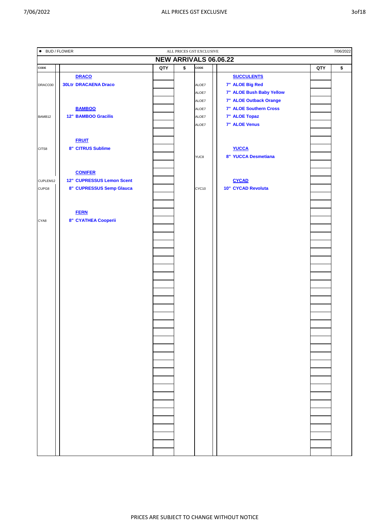| • BUD / FLOWER<br>7/06/2022<br>ALL PRICES GST EXCLUSIVE |                             |     |                      |       |                          |     |    |  |  |  |  |
|---------------------------------------------------------|-----------------------------|-----|----------------------|-------|--------------------------|-----|----|--|--|--|--|
|                                                         |                             |     |                      |       | NEW ARRIVALS 06.06.22    |     |    |  |  |  |  |
| CODE                                                    |                             | QTY | $\overline{\bullet}$ | CODE  |                          | QTY | \$ |  |  |  |  |
|                                                         | <b>DRACO</b>                |     |                      |       | <b>SUCCULENTS</b>        |     |    |  |  |  |  |
| DRACO30                                                 | <b>30Ltr DRACAENA Draco</b> |     |                      | ALOE7 | 7" ALOE Big Red          |     |    |  |  |  |  |
|                                                         |                             |     |                      | ALOE7 | 7" ALOE Bush Baby Yellow |     |    |  |  |  |  |
|                                                         |                             |     |                      | ALOE7 | 7" ALOE Outback Orange   |     |    |  |  |  |  |
|                                                         | <b>BAMBOO</b>               |     |                      | ALOE7 | 7" ALOE Southern Cross   |     |    |  |  |  |  |
| BAMB12                                                  | <b>12" BAMBOO Gracilis</b>  |     |                      | ALOE7 | 7" ALOE Topaz            |     |    |  |  |  |  |
|                                                         |                             |     |                      | ALOE7 | 7" ALOE Venus            |     |    |  |  |  |  |
|                                                         |                             |     |                      |       |                          |     |    |  |  |  |  |
|                                                         | <b>FRUIT</b>                |     |                      |       |                          |     |    |  |  |  |  |
| CITS8                                                   | 8" CITRUS Sublime           |     |                      |       | <b>YUCCA</b>             |     |    |  |  |  |  |
|                                                         |                             |     |                      | YUC8  | 8" YUCCA Desmetiana      |     |    |  |  |  |  |
|                                                         |                             |     |                      |       |                          |     |    |  |  |  |  |
|                                                         | <b>CONIFER</b>              |     |                      |       |                          |     |    |  |  |  |  |
| CUPLEM12                                                | 12" CUPRESSUS Lemon Scent   |     |                      |       | <b>CYCAD</b>             |     |    |  |  |  |  |
| CUPG8                                                   | 8" CUPRESSUS Semp Glauca    |     |                      | CYC10 | 10" CYCAD Revoluta       |     |    |  |  |  |  |
|                                                         |                             |     |                      |       |                          |     |    |  |  |  |  |
|                                                         |                             |     |                      |       |                          |     |    |  |  |  |  |
|                                                         | <b>FERN</b>                 |     |                      |       |                          |     |    |  |  |  |  |
| CYA8                                                    | 8" CYATHEA Cooperii         |     |                      |       |                          |     |    |  |  |  |  |
|                                                         |                             |     |                      |       |                          |     |    |  |  |  |  |
|                                                         |                             |     |                      |       |                          |     |    |  |  |  |  |
|                                                         |                             |     |                      |       |                          |     |    |  |  |  |  |
|                                                         |                             |     |                      |       |                          |     |    |  |  |  |  |
|                                                         |                             |     |                      |       |                          |     |    |  |  |  |  |
|                                                         |                             |     |                      |       |                          |     |    |  |  |  |  |
|                                                         |                             |     |                      |       |                          |     |    |  |  |  |  |
|                                                         |                             |     |                      |       |                          |     |    |  |  |  |  |
|                                                         |                             |     |                      |       |                          |     |    |  |  |  |  |
|                                                         |                             |     |                      |       |                          |     |    |  |  |  |  |
|                                                         |                             |     |                      |       |                          |     |    |  |  |  |  |
|                                                         |                             |     |                      |       |                          |     |    |  |  |  |  |
|                                                         |                             |     |                      |       |                          |     |    |  |  |  |  |
|                                                         |                             |     |                      |       |                          |     |    |  |  |  |  |
|                                                         |                             |     |                      |       |                          |     |    |  |  |  |  |
|                                                         |                             |     |                      |       |                          |     |    |  |  |  |  |
|                                                         |                             |     |                      |       |                          |     |    |  |  |  |  |
|                                                         |                             |     |                      |       |                          |     |    |  |  |  |  |
|                                                         |                             |     |                      |       |                          |     |    |  |  |  |  |
|                                                         |                             |     |                      |       |                          |     |    |  |  |  |  |
|                                                         |                             |     |                      |       |                          |     |    |  |  |  |  |
|                                                         |                             |     |                      |       |                          |     |    |  |  |  |  |
|                                                         |                             |     |                      |       |                          |     |    |  |  |  |  |
|                                                         |                             |     |                      |       |                          |     |    |  |  |  |  |
|                                                         |                             |     |                      |       |                          |     |    |  |  |  |  |
|                                                         |                             |     |                      |       |                          |     |    |  |  |  |  |
|                                                         |                             |     |                      |       |                          |     |    |  |  |  |  |
|                                                         |                             |     |                      |       |                          |     |    |  |  |  |  |
|                                                         |                             |     |                      |       |                          |     |    |  |  |  |  |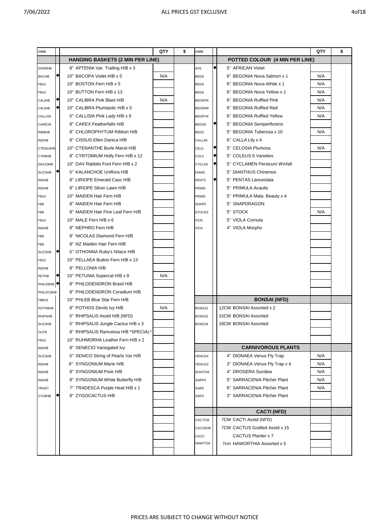| CODE                  |                                         | QTY | \$<br>CODE        |           |                                      | QTY | \$ |
|-----------------------|-----------------------------------------|-----|-------------------|-----------|--------------------------------------|-----|----|
|                       | <b>HANGING BASKETS (2 MIN PER LINE)</b> |     |                   |           | POTTED COLOUR (4 MIN PER LINE)       |     |    |
| DOR8HB                | 8" APTENIA Var. Trailing H/B x 3        |     | AV5               | $\bullet$ | 5" AFRICAN Violet                    |     |    |
| <b>BACHB</b>          | 10" BACOPA Violet H/B x 5               | N/A | BEG6              |           | BEGONIA Nova Salmon x 1<br>6"        | N/A |    |
| FB10                  | 10" BOSTON Fern H/B x 5                 |     | BEG6              |           | <b>BEGONIA Nova White x 1</b><br>6"  | N/A |    |
| <b>FB10</b>           | 10" BUTTON Fern H/B x 13                |     | BEG6              |           | <b>BEGONIA Nova Yellow x 1</b><br>6" | N/A |    |
| CALIHB                | 10" CALIBRA Pink Blast H/B              | N/A | BEGRP6            |           | <b>BEGONIA Ruffled Pink</b><br>6"    | N/A |    |
| CALIHB                | 10" CALIBRA Plumtastic H/B x 5          |     | BEGRR6            |           | <b>BEGONIA Ruffled Red</b><br>6"     | N/A |    |
| CALLIS5               | 5" CALLISIA Pink Lady H/B x 9           |     | BEGRY6            |           | <b>BEGONIA Ruffled Yellow</b><br>6"  | N/A |    |
| CAREX8                | 8" CAREX Featherfalls H/B               |     | BEGS5             |           | 5" BEGONIA Semperflorens             |     |    |
| RIB8HB                | 8" CHLOROPHYTUM Ribbon H/B              |     | BEG5              |           | 5" BEGONIA Tuberosa x 10             | N/A |    |
| <b>INDHB</b>          | 8" CISSUS Ellen Danica H/B              |     | CALLA6            |           | 6" CALLA Lily x 4                    |     |    |
| CTEN10HB              | 10" CTENANTHE Burle Marxii H/B          |     | CEL5              |           | <b>CELOSIA Plumosa</b><br>5"         | N/A |    |
| CYR8HB                | 8" CYRTOMIUM Holly Fern H/B x 12        |     | COL5              |           | <b>COLEUS 6 Varieties</b><br>5"      |     |    |
| DAV10HB               | 10" DAV Rabbits Foot Fern H/B x 2       |     | CYCLA5            |           | 5" CYCLAMEN Persicum Winfall         |     |    |
| SUC5HB                | 5" KALANCHOE Uniflora H/B               |     | DIAN <sub>5</sub> |           | 5" DIANTHUS Chinensis                |     |    |
| <b>INDHB</b>          | 8" LIRIOPE Emerald Casc H/B             |     | PENT5             |           | 5" PENTAS Lanceolata                 |     |    |
| <b>INDHB</b>          | 8" LIRIOPE Silver Lawn H/B              |     | PRIM5             |           | 5" PRIMULA Acaulis                   |     |    |
| FB10                  | 10" MAIDEN Hair Fern H/B                |     | PRIM <sub>5</sub> |           | 5" PRIMULA Mala. Beauty x 4          |     |    |
| FB8                   | 8" MAIDEN Hair Fern H/B                 |     | SNAP5             |           | SNAPDRAGON<br>5"                     |     |    |
| FB8                   | 8" MAIDEN Hair Fine Leaf Fern H/B       |     | STOCK5            |           | 5"<br><b>STOCK</b>                   | N/A |    |
| FB10                  | 10" MALE Fern H/B x 6                   |     | VIO <sub>5</sub>  |           | <b>VIOLA Cornuta</b><br>5"           |     |    |
| <b>INDHB</b>          | 8" NEPHRO Fern H/B                      |     | VIO <sub>4</sub>  |           | 4" VIOLA Morpho                      |     |    |
| FB8                   | 8" NICOLAS Diamond Fern H/B             |     |                   |           |                                      |     |    |
| FB <sub>8</sub>       | 8" NZ Maiden Hair Fern H/B              |     |                   |           |                                      |     |    |
| SUC5HB                | 5" OTHONNA Ruby's N/lace H/B            |     |                   |           |                                      |     |    |
| <b>FB10</b>           | 10" PELLAEA Button Fern H/B x 13        |     |                   |           |                                      |     |    |
| <b>INDHB</b>          | 8" PELLONIA H/B                         |     |                   |           |                                      |     |    |
| PETHB                 | 10" PETUNIA Supercal H/B x 8            | N/A |                   |           |                                      |     |    |
| PHILO8HB <sup>O</sup> | 8" PHILODENDRON Brasil H/B              |     |                   |           |                                      |     |    |
| PHILOC8HB             | 8" PHILODENDRON Coradtum H/B            |     |                   |           |                                      |     |    |
| <b>FBB10</b>          | 10" PHLEB Blue Star Fern H/B            |     |                   |           | <b>BONSAI (NFD)</b>                  |     |    |
| POTH8HB               | 8" POTHOS Devils Ivy H/B                | N/A | BONS12            |           | 12CM BONSAI Assorted x 2             |     |    |
| RHIP5HB               | 5" RHIPSALIS Asstd H/B (NFD)            |     | BONS15            |           | <b>15CM BONSAI Assorted</b>          |     |    |
| SUC5HB                | 5" RHIPSALIS Jungle Cactus H/B x 3      |     | BONS18            |           | <b>18CM BONSAI Assorted</b>          |     |    |
| OUT8                  | 8" RHIPSALIS Ramulosa H/B *SPECIAL*     |     |                   |           |                                      |     |    |
| FB10                  | 10" RUHMORHA Leather Fern H/B x 2       |     |                   |           |                                      |     |    |
| <b>INDHB</b>          | 8" SENECIO Variegated Ivy               |     |                   |           | <b>CARNIVOROUS PLANTS</b>            |     |    |
| SUC5HB                | 5" SENICO String of Pearls Var H/B      |     | VENUS4            |           | 4" DIONAEA Venus Fly Trap            | N/A |    |
| <b>INDHB</b>          | 8" SYNGONIUM Marie H/B                  |     | VENUS3            |           | 3" DIONAEA Venus Fly Trap x 4        | N/A |    |
| <b>INDHB</b>          | 8" SYNGONIUM Pixie H/B                  |     | <b>SUN7CM</b>     |           | 4" DROSERA Sundew                    | N/A |    |
| <b>INDHB</b>          | 8" SYNGONIUM White Butterfly H/B        |     | SARP5             |           | 5" SARRACENIA Pitcher Plant          | N/A |    |
| TRAD7                 | 7" TRADESCA Purple Heat H/B x 1         |     | SAR6              |           | 6" SARRACENIA Pitcher Plant          | N/A |    |
| ZYG8HB                | 8" ZYGOCACTUS H/B                       |     | SAR3              |           | 3" SARRACENIA Pitcher Plant          |     |    |
|                       |                                         |     |                   |           |                                      |     |    |
|                       |                                         |     |                   |           | <b>CACTI (NFD)</b>                   |     |    |
|                       |                                         |     | CAC7CM            |           | 7CM CACTI Asstd (NFD)                |     |    |
|                       |                                         |     | CACGRAF           |           | 7CM CACTUS Grafted Asstd x 15        |     |    |
|                       |                                         |     | CACC              |           | CACTUS Planter x 7                   |     |    |
|                       |                                         |     | HAW7CM            |           | 7cm HAWORTHIA Assorted x 5           |     |    |
|                       |                                         |     |                   |           |                                      |     |    |
|                       |                                         |     |                   |           |                                      |     |    |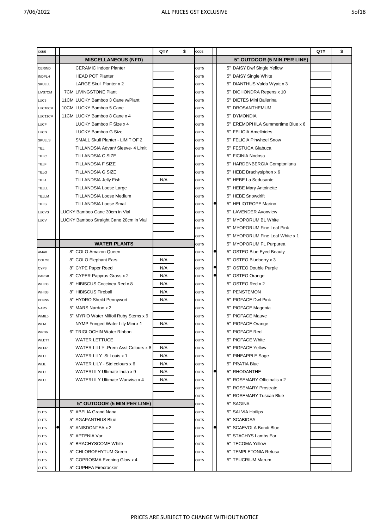| CODE           |                                         | QTY | \$<br>CODE |           |                                    | QTY | \$ |
|----------------|-----------------------------------------|-----|------------|-----------|------------------------------------|-----|----|
|                | <b>MISCELLANEOUS (NFD)</b>              |     |            |           | 5" OUTDOOR (5 MIN PER LINE)        |     |    |
| <b>CERIND</b>  | <b>CERAMIC Indoor Planter</b>           |     | OUT5       |           | 5" DAISY Dwf Single Yellow         |     |    |
| <b>INDPLH</b>  | <b>HEAD POT Planter</b>                 |     | OUT5       |           | 5" DAISY Single White              |     |    |
| <b>SKULLL</b>  | <b>LARGE Skull Planter x 2</b>          |     | OUT5       |           | 5" DIANTHUS Valda Wyatt x 3        |     |    |
| <b>LIVS7CM</b> | <b>7CM LIVINGSTONE Plant</b>            |     | OUT5       |           | 5" DICHONDRA Repens x 10           |     |    |
| LUC3           | 11CM LUCKY Bamboo 3 Cane w/Plant        |     | OUT5       |           | <b>DIETES Mini Ballerina</b><br>5" |     |    |
| LUC10CM        | 10CM LUCKY Bamboo 5 Cane                |     | OUT5       |           | 5" DROSANTHEMUM                    |     |    |
| LUC11CM        | 11CM LUCKY Bamboo 8 Cane x 4            |     | OUT5       |           | 5" DYMONDIA                        |     |    |
| <b>LUCF</b>    | LUCKY Bamboo F Size x 4                 |     | OUT5       |           | 5" EREMOPHILA Summertime Blue x 6  |     |    |
| <b>LUCG</b>    | <b>LUCKY Bamboo G Size</b>              |     | OUT5       |           | 5" FELICIA Amelloides              |     |    |
| <b>SKULLS</b>  | SMALL Skull Planter - LIMIT OF 2        |     | OUT5       |           | 5" FELICIA Pinwheel Snow           |     |    |
| TILL           | TILLANDSIA Advan/ Sleeve- 4 Limit       |     | OUT5       |           | 5" FESTUCA Glabuca                 |     |    |
| <b>TILLC</b>   | <b>TILLANDSIA C SIZE</b>                |     | OUT5       |           | 5" FICINIA Nodosa                  |     |    |
| <b>TILLF</b>   | TILLANDSIA F SIZE                       |     | OUT5       |           | 5" HARDENBERGIA Comptoniana        |     |    |
| <b>TILLG</b>   | <b>TILLANDSIA G SIZE</b>                |     | OUT5       |           | 5" HEBE Brachysiphon x 6           |     |    |
| TILLJ          | <b>TILLANDSIA Jelly Fish</b>            | N/A | OUT5       |           | 5" HEBE La Sedusante               |     |    |
| TILLLL         | <b>TILLANDSIA Loose Large</b>           |     | OUT5       |           | 5" HEBE Mary Antoinette            |     |    |
| <b>TILLLM</b>  | <b>TILLANDSIA Loose Medium</b>          |     | OUT5       |           | 5" HEBE Snowdrift                  |     |    |
| <b>TILLS</b>   | <b>TILLANDSIA Loose Small</b>           |     | OUT5       |           | 5" HELIOTROPE Marino               |     |    |
| LUCVS          | LUCKY Bamboo Cane 30cm in Vial          |     | OUT5       |           | 5" LAVENDER Avonview               |     |    |
| LUCV           | LUCKY Bamboo Straight Cane 20cm in Vial |     | OUT5       |           | 5" MYOPORUM BL White               |     |    |
|                |                                         |     | OUT5       |           | 5" MYOPORUM Fine Leaf Pink         |     |    |
|                |                                         |     | OUT5       |           | 5" MYOPORUM Fine Leaf White x 1    |     |    |
|                | <b>WATER PLANTS</b>                     |     | OUT5       |           | 5" MYOPORUM FL Purpurea            |     |    |
| AMA8           | 8" COLO Amazon Queen                    |     | OUT5       |           | 5" OSTEO Blue Eyed Beauty          |     |    |
| COLO8          | 8" COLO Elephant Ears                   | N/A | OUT5       |           | 5" OSTEO Blueberry x 3             |     |    |
| CYP8           | 8" CYPE Paper Reed                      | N/A | OUT5       | $\bullet$ | 5" OSTEO Double Purple             |     |    |
| PAPG8          | 8" CYPER Papyrus Grass x 2              | N/A | OUT5       | $\bullet$ | 5" OSTEO Orange                    |     |    |
| WHIB8          | 8" HIBISCUS Coccinea Red x 8            | N/A | OUT5       |           | 5" OSTEO Red x 2                   |     |    |
| WHIB8          | 8" HIBISCUS Fireball                    | N/A | OUT5       |           | 5" PENSTEMON                       |     |    |
| PENN5          | 5" HYDRO Sheild Pennywort               | N/A | OUT5       |           | 5" PIGFACE Dwf Pink                |     |    |
| NAR5           | 5" MARS Nardoo x 2                      |     | OUT5       |           | 5" PIGFACE Magenta                 |     |    |
| WMIL5          | 5" MYRIO Water Milfoil Ruby Stems x 9   |     | OUT5       |           | 5" PIGFACE Mauve                   |     |    |
| <b>WLM</b>     | NYMP Fringed Water Lily Mini x 1        | N/A | OUT5       |           | 5" PIGFACE Orange                  |     |    |
| WRB6           | 6" TRIGLOCHIN Water Ribbon              |     | OUT5       |           | 5" PIGFACE Red                     |     |    |
| WLETT          | <b>WATER LETTUCE</b>                    |     | OUT5       |           | 5" PIGFACE White                   |     |    |
| <b>WLPR</b>    | WATER LILLY - Prem Asst Colours x 8     | N/A | OUT5       |           | 5" PIGFACE Yellow                  |     |    |
| <b>WLUL</b>    | WATER LILY St Louis x 1                 | N/A | OUT5       |           | 5" PINEAPPLE Sage                  |     |    |
| <b>WLIL</b>    | WATER LILY - Std colours x 6            | N/A | OUT5       |           | 5" PRATIA Blue                     |     |    |
| <b>WLUL</b>    | WATERLILY Ultimate India x 9            | N/A | OUT5       |           | 5" RHODANTHE                       |     |    |
| <b>WLUL</b>    | WATERLILY Ultimate Wanvisa x 4          | N/A | OUT5       |           | 5" ROSEMARY Officinalis x 2        |     |    |
|                |                                         |     | OUT5       |           | 5" ROSEMARY Prostrate              |     |    |
|                |                                         |     | OUT5       |           | 5" ROSEMARY Tuscan Blue            |     |    |
|                | 5" OUTDOOR (5 MIN PER LINE)             |     | OUT5       |           | 5" SAGINA                          |     |    |
| OUT5           | 5" ABELIA Grand Nana                    |     | OUT5       |           | 5" SALVIA Hotlips                  |     |    |
| OUT5           | 5" AGAPANTHUS Blue                      |     | OUT5       |           | 5" SCABIOSA                        |     |    |
|                | 5" ANISDONTEA x 2                       |     | OUT5       |           | 5" SCAEVOLA Bondi Blue             |     |    |
| OUT5           | 5" APTENIA Var                          |     |            |           | 5" STACHYS Lambs Ear               |     |    |
| OUT5           | 5" BRACHYSCOME White                    |     | OUT5       |           | 5" TECOMA Yellow                   |     |    |
| OUT5           | 5" CHLOROPHYTUM Green                   |     | OUT5       |           | 5" TEMPLETONIA Retusa              |     |    |
| OUT5           |                                         |     | OUT5       |           |                                    |     |    |
| OUT5           | 5" COPROSMA Evening Glow x 4            |     | OUT5       |           | 5" TEUCRIUM Marum                  |     |    |
| OUT5           | 5" CUPHEA Firecracker                   |     |            |           |                                    |     |    |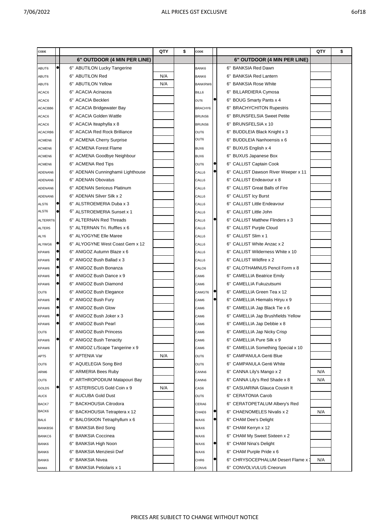| CODE             |   |                                   | QTY | \$<br>CODE        |                                                                      | QTY | \$ |
|------------------|---|-----------------------------------|-----|-------------------|----------------------------------------------------------------------|-----|----|
|                  |   | 6" OUTDOOR (4 MIN PER LINE)       |     |                   | 6" OUTDOOR (4 MIN PER LINE)                                          |     |    |
| ABUT6            |   | 6" ABUTILON Lucky Tangerine       |     | BANK6             | 6" BANKSIA Red Dawn                                                  |     |    |
| ABUT6            |   | 6" ABUTILON Red                   | N/A | BANK6             | <b>BANKSIA Red Lantern</b><br>6"                                     |     |    |
| ABUT6            |   | 6" ABUTILON Yellow                | N/A | BANKRW6           | <b>BANKSIA Rose White</b><br>6"                                      |     |    |
| ACAC6            |   | 6" ACACIA Acinacea                |     | BILL6             | <b>BILLARDIERA Cymosa</b><br>6"                                      |     |    |
| ACAC6            |   | 6" ACACIA Beckleri                |     | OUT6              | <b>BOUG Smarty Pants x 4</b><br>6"                                   |     |    |
| ACACBB6          |   | 6" ACACIA Bridgewater Bay         |     | BRACHY6           | 6" BRACHYCHITON Rupestris                                            |     |    |
| ACAC6            |   | 6" ACACIA Golden Wattle           |     | BRUNS6            | <b>BRUNSFELSIA Sweet Petite</b><br>6"                                |     |    |
| ACAC6            |   | 6" ACACIA Iteaphylla x 8          |     | <b>BRUNS6</b>     | BRUNSFELSIA x 10<br>6"                                               |     |    |
| ACACRB6          |   | 6" ACACIA Red Rock Brilliance     |     | OUT6              | BUDDLEIA Black Knight x 3<br>6"                                      |     |    |
| ACMEN6           |   | 6" ACMENA Cherry Surprise         |     | OUT6              | <b>BUDDLEIA Nanhoensis x 6</b><br>6"                                 |     |    |
| ACMEN6           |   | 6" ACMENA Forest Flame            |     | BUX6              | BUXUS English x 4<br>6"                                              |     |    |
| ACMEN6           |   | 6" ACMENA Goodbye Neighbour       |     | BUX6              | <b>BUXUS Japanese Box</b><br>6"                                      |     |    |
| ACMEN6           |   | 6" ACMENA Red Tips                |     | OUT6              | <b>CALLIST Captain Cook</b><br>6"                                    |     |    |
| ADENAN6          |   | 6" ADENAN Cunninghamii Lighthouse |     | CALL6             | 6" CALLIST Dawson River Weeper x 11                                  |     |    |
| ADENAN6          |   | 6" ADENAN Obovatus                |     | CALL6             | 6" CALLIST Endeavour x 8                                             |     |    |
| ADENAN6          |   | 6" ADENAN Sericeus Platinum       |     | CALL6             | <b>CALLIST Great Balls of Fire</b><br>6"                             |     |    |
| ADENAN6          |   | 6" ADENAN Silver Silk x 2         |     | CALL6             | <b>CALLIST Icy Burst</b><br>6"                                       |     |    |
| ALST6            |   | 6" ALSTROEMERIA Duba x 3          |     | CALL6             | <b>CALLIST Little Endeavour</b><br>6"                                |     |    |
| ALST6            |   | 6" ALSTROEMERIA Sunset x 1        |     | CALL6             | <b>CALLIST Little John</b><br>6"                                     |     |    |
| ALTERRT6         |   | 6" ALTERNAN Red Threads           |     | CALL6             | <b>CALLIST Matthew Flinders x 3</b><br>6"                            |     |    |
| ALTER5           |   | 5" ALTERNAN Tri. Ruffles x 6      |     | CALL6             | 6" CALLIST Purple Cloud                                              |     |    |
| ALY6             |   | 6" ALYOGYNE Elle Maree            |     | CALL6             | CALLIST Slim x 1<br>6"                                               |     |    |
| ALYWG6           | c | 6" ALYOGYNE West Coast Gem x 12   |     | CALL6             | CALLIST White Anzac x 2<br>6"                                        |     |    |
| KPAW6            |   | 6" ANIGOZ Autumn Blaze x 6        |     | CALL6             | CALLIST Wilderness White x 10<br>6"                                  |     |    |
| KPAW6            | o | 6" ANIGOZ Bush Ballad x 3         |     | CALL6             | CALLIST Wildfire x 2<br>6"                                           |     |    |
| KPAW6            |   | 6" ANIGOZ Bush Bonanza            |     | CALO <sub>6</sub> | CALOTHAMNUS Pencil Form x 8<br>6"                                    |     |    |
| KPAW6            |   | 6" ANIGOZ Bush Dance x 9          |     | CAM6              | <b>CAMELLIA Beatrice Emily</b><br>6"                                 |     |    |
| KPAW6            |   | 6" ANIGOZ Bush Diamond            |     | CAM6              | <b>CAMELLIA Fukuzutsumi</b><br>6"                                    |     |    |
| OUT6             |   | 6" ANIGOZ Bush Elegance           |     | CAMGT6            | CAMELLIA Green Tea x 12<br>6"                                        |     |    |
| KPAW6            |   | 6" ANIGOZ Bush Fury               |     | CAM <sub>6</sub>  | CAMELLIA Hiemalis Hiryu x 9<br>6"                                    |     |    |
| KPAW6            |   | 6" ANIGOZ Bush Glow               |     | CAM6              | 6" CAMELLIA Jap Black Tie x 6                                        |     |    |
| KPAW6            |   | 6" ANIGOZ Bush Joker x 3          |     | CAM6              | 6" CAMELLIA Jap Brushfields Yellow                                   |     |    |
|                  |   | 6" ANIGOZ Bush Pearl              |     | CAM6              | 6" CAMELLIA Jap Debbie x 8                                           |     |    |
| KPAW6            |   | 6" ANIGOZ Bush Princess           |     |                   | 6" CAMELLIA Jap Nicky Crisp                                          |     |    |
| OUT6             |   | 6" ANIGOZ Bush Tenacity           |     | CAM6              | 6" CAMELLIA Pure Silk x 9                                            |     |    |
| KPAW6            |   | 6" ANIGOZ L/Scape Tangerine x 9   |     | CAM6              | 6"                                                                   |     |    |
| KPAW6            |   |                                   | N/A | CAM6              | CAMELLIA Something Special x 10<br><b>CAMPANULA Genti Blue</b><br>6" |     |    |
| APT <sub>5</sub> |   | 5" APTENIA Var                    |     | OUT6              | <b>CAMPANULA Genti White</b>                                         |     |    |
| OUT6             |   | 6" AQUELEGIA Song Bird            |     | OUT6              | 6"                                                                   |     |    |
| ARM6             |   | 6" ARMERIA Bees Ruby              |     | CANN6             | 6" CANNA Lily's Mango x 2                                            | N/A |    |
| OUT6             |   | 6" ARTHROPODIUM Matapouri Bay     |     | CANN6             | 6" CANNA Lily's Red Shade x 8                                        | N/A |    |
| GOLD5            |   | 5" ASTERISCUS Gold Coin x 9       | N/A | CAS6              | <b>CASUARINA Glauca Cousin It</b><br>6"                              |     |    |
| AUC6             |   | 6" AUCUBA Gold Dust               |     | OUT6              | <b>CERATONIA Carob</b><br>6"                                         |     |    |
| BACK7            |   | 7" BACKHOUSIA Citrodora           |     | CERA6             | CERATOPETALUM Albery's Red<br>6"                                     |     |    |
| BACK6            |   | 6" BACKHOUSIA Tetraptera x 12     |     | CHAE6             | CHAENOMELES Nivalis x 2<br>6"                                        | N/A |    |
| BAL6             |   | 6" BALOSKION Tetraphyllum x 6     |     | WAX6              | <b>CHAM Dee's Delight</b><br>6"                                      |     |    |
| <b>BANKBS6</b>   |   | 6" BANKSIA Bird Song              |     | WAX6              | 6" CHAM Kerryn x 12                                                  |     |    |
| <b>BANKC6</b>    |   | 6" BANKSIA Coccinea               |     | WAX6              | CHAM My Sweet Sixteen x 2<br>6"                                      |     |    |
| BANK6            |   | 6" BANKSIA High Noon              |     | WAX6              | 6" CHAM Nina's Delight                                               |     |    |
| BANK6            |   | 6" BANKSIA Menziesii Dwf          |     | WAX6              | 6" CHAM Purple Pride x 6                                             |     |    |
| BANK6            |   | 6" BANKSIA Nivea                  |     | CHR <sub>6</sub>  | CHRYSOCEPHALUM Desert Flame x 3<br>6"                                | N/A |    |
| BANK6            |   | 6" BANKSIA Petiolaris x 1         |     | CONV6             | 6" CONVOLVULUS Cneorum                                               |     |    |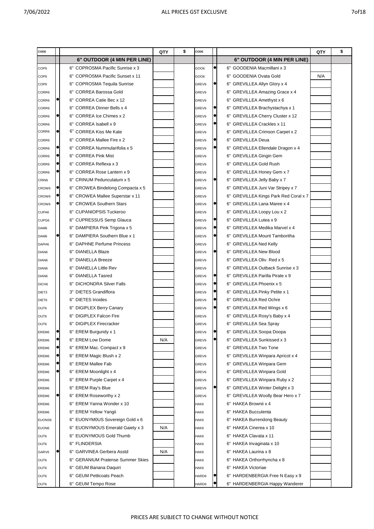| CODE              |                                   | QTY | \$<br>CODE |           | QTY                                         | \$ |
|-------------------|-----------------------------------|-----|------------|-----------|---------------------------------------------|----|
|                   | 6" OUTDOOR (4 MIN PER LINE)       |     |            |           | 6" OUTDOOR (4 MIN PER LINE)                 |    |
| COP6              | 6" COPROSMA Pacific Sunrise x 3   |     | GOO6       | $\bullet$ | 6" GOODENIA Macmillani x 3                  |    |
| COP <sub>6</sub>  | 6" COPROSMA Pacific Sunset x 11   |     | GO06       |           | N/A<br>GOODENIA Ovata Gold<br>6"            |    |
| COP6              | 6" COPROSMA Tequila Sunrise       |     | GREV6      |           | <b>GREVILLEA Allyn Glory x 4</b><br>6"      |    |
| CORR6             | 6" CORREA Barossa Gold            |     | GREV6      |           | <b>GREVILLEA Amazing Grace x 4</b><br>6"    |    |
| CORR6             | 6" CORREA Catie Bec x 12          |     | GREV6      |           | <b>GREVILLEA Amethyst x 6</b><br>6"         |    |
| CORR6             | 6" CORREA Dinner Bells x 4        |     | GREV6      |           | GREVILLEA Brachystachya x 1<br>6"           |    |
| CORR6             | 6" CORREA Ice Chimes x 2          |     | GREV6      |           | <b>GREVILLEA Cherry Cluster x 12</b><br>6"  |    |
| CORR6             | 6" CORREA Isabell x 9             |     | GREV6      |           | <b>GREVILLEA Crackles x 11</b><br>6"        |    |
| CORR6             | 6" CORREA Kiss Me Kate            |     | GREV6      |           | <b>GREVILLEA Crimson Carpet x 2</b><br>6"   |    |
| CORR6             | 6" CORREA Mallee Fire x 2         |     | GREV6      |           | <b>GREVILLEA Deua</b><br>6"                 |    |
| CORR6             | 6" CORREA Nummularifolia x 5      |     | GREV6      |           | GREVILLEA Ellendale Dragon x 4<br>6"        |    |
| CORR6             | 6" CORREA Pink Mist               |     | GREV6      |           | <b>GREVILLEA Gingin Gem</b><br>6"           |    |
| CORR6             | 6" CORREA Reflexa x 3             |     | GREV6      |           | <b>GREVILLEA Gold Rush</b><br>6"            |    |
| CORR6             | 6" CORREA Rose Lantern x 9        |     | GREV6      |           | <b>GREVILLEA Honey Gem x 7</b><br>6"        |    |
| CRIN6             | 6" CRINUM Pedunculatum x 5        |     | GREV6      |           | GREVILLEA Jelly Baby x 7<br>6"              |    |
| CROW6             | 6" CROWEA Bindelong Compacta x 5  |     | GREV6      |           | <b>GREVILLEA Juni Var Stripey x 7</b><br>6" |    |
| CROW6             | 6" CROWEA Mallee Superstar x 11   |     | GREV6      |           | GREVILLEA Kings Park Red Coral x 7<br>6"    |    |
| CROW6             | 6" CROWEA Southern Stars          |     | GREV6      |           | <b>GREVILLEA Lana Maree x 4</b><br>6"       |    |
| CUPA6             | 6" CUPANIOPSIS Tuckeroo           |     | GREV6      |           | <b>GREVILLEA Loopy Lou x 2</b><br>6"        |    |
| CUPG6             | 6" CUPRESSUS Semp Glauca          |     | GREV6      |           | <b>GREVILLEA Lutea x 9</b><br>6"            |    |
| DAM6              | 6" DAMPIERA Pink Trigona x 5      |     | GREV6      |           | <b>GREVILLEA Medika Marvel x 4</b><br>6"    |    |
| DAM6              | 6" DAMPIERA Southern Blue x 1     |     | GREV6      |           | <b>GREVILLEA Mount Tamboritha</b><br>6"     |    |
| DAPH <sub>6</sub> | 6" DAPHNE Perfume Princess        |     | GREV6      |           | <b>GREVILLEA Ned Kelly</b><br>6"            |    |
| DIAN6             | <b>DIANELLA Blaze</b><br>6"       |     | GREV6      |           | <b>GREVILLEA New Blood</b><br>6"            |    |
| DIAN6             | 6" DIANELLA Breeze                |     | GREV6      |           | GREVILLEA Oliv. Red x 5<br>6"               |    |
| DIAN <sub>6</sub> | 6" DIANELLA Little Rev            |     | GREV6      |           | <b>GREVILLEA Outback Sunrise x 3</b><br>6"  |    |
| DIAN <sub>6</sub> | 6" DIANELLA Tasred                |     | GREV6      |           | <b>GREVILLEA Parilla Pirate x 9</b><br>6"   |    |
| DICH <sub>6</sub> | 6" DICHONDRA Silver Falls         |     | GREV6      |           | <b>GREVILLEA Phoenix x 5</b><br>6"          |    |
| DIET <sub>3</sub> | 3" DIETES Grandiflora             |     | GREV6      |           | <b>GREVILLEA Pinky Petite x 1</b><br>6"     |    |
| DIET6             | 6" DIETES Irioides                |     | GREV6      |           | <b>GREVILLEA Red Ochre</b><br>6"            |    |
| OUT6              | 6" DIGIPLEX Berry Canary          |     | GREV6      |           | GREVILLEA Red Wings x 6<br>6"               |    |
| OUT6              | 6" DIGIPLEX Falcon Fire           |     | GREV6      |           | GREVILLEA Rosy's Baby x 4<br>6"             |    |
| OUT6              | 6" DIGIPLEX Firecracker           |     | GREV6      |           | 6" GREVILLEA Sea Spray                      |    |
| =REM6             | 6" EREM Burgundy x 1              |     | GREV6      |           | <b>GREVILLEA Soopa Doopa</b>                |    |
| EREM6             | 6" EREM Low Dome                  | N/A | GREV6      |           | 6" GREVILLEA Sunkissed x 3                  |    |
| EREM6             | 6" EREM Mac. Compact x 9          |     | GREV6      |           | <b>GREVILLEA Two Tone</b><br>6"             |    |
| EREM6             | 6" EREM Magic Blush x 2           |     | GREV6      |           | <b>GREVILLEA Winpara Apricot x 4</b><br>6"  |    |
| EREM6             | 6" EREM Mallee Fab                |     | GREV6      |           | <b>GREVILLEA Winpara Gem</b><br>6"          |    |
| EREM6             | 6" EREM Moonlight x 4             |     | GREV6      |           | 6" GREVILLEA Winpara Gold                   |    |
| EREM6             | 6" EREM Purple Carpet x 4         |     | GREV6      |           | <b>GREVILLEA Winpara Ruby x 2</b><br>6"     |    |
| EREM6             | 6" EREM Ray's Blue                |     | GREV6      |           | <b>GREVILLEA Winter Delight x 3</b><br>6"   |    |
| EREM6             | 6" EREM Roseworthy x 2            |     | GREV6      |           | GREVILLEA Woolly Bear Hero x 7<br>6"        |    |
| EREM6             | 6" EREM Yanna Wonder x 10         |     | HAK6       |           | HAKEA Brownii x 4<br>6"                     |    |
| EREM6             | 6" EREM Yellow Yangii             |     | HAK6       |           | <b>HAKEA Bucculenta</b><br>6"               |    |
| EUONS6            | 6" EUONYM0US Sovereign Gold x 6   |     | HAK6       |           | 6" HAKEA Burrendong Beauty                  |    |
| EUON6             | 6" EUONYMOUS Emerald Gaiety x 3   | N/A | HAK6       |           | 6" HAKEA Cinerea x 10                       |    |
| OUT6              | 6" EUONYMOUS Gold Thumb           |     | HAK6       |           | 6" HAKEA Clavata x 11                       |    |
| OUT6              | 6" FLINDERSIA                     |     | HAK6       |           | HAKEA Invaginata x 10<br>6"                 |    |
| GARV6             | 6" GARVINEA Gerbera Asstd         | N/A | HAK6       |           | HAKEA Laurina x 8<br>6"                     |    |
| OUT6              | 6" GERANIUM Pratense Summer Skies |     | HAK6       |           | HAKEA Orthorrhyncha x 8<br>6"               |    |
| OUT6              | 6" GEUM Banana Daquiri            |     | HAK6       |           | <b>HAKEA Victoriae</b><br>6"                |    |
| OUT6              | 6" GEUM Petticoats Peach          |     | HARD6      |           | HARDENBERGIA Free N Easy x 9<br>6"          |    |
| OUT6              | 6" GEUM Tempo Rose                |     | HARD6      |           | 6" HARDENBERGIA Happy Wanderer              |    |
|                   |                                   |     |            |           |                                             |    |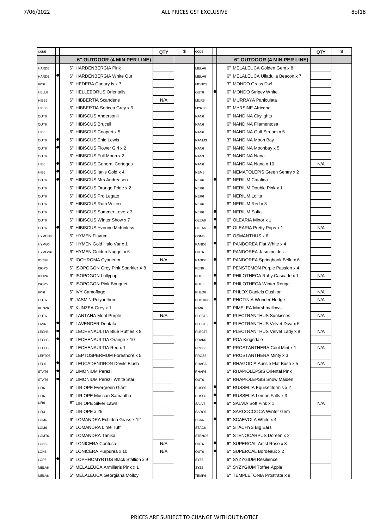| I | ×<br>۰, |  | ٧ |
|---|---------|--|---|
|   |         |  |   |

| CODE              |           |                                              | QTY | \$<br>CODE        |           |                                     | QTY | \$ |
|-------------------|-----------|----------------------------------------------|-----|-------------------|-----------|-------------------------------------|-----|----|
|                   |           | 6" OUTDOOR (4 MIN PER LINE)                  |     |                   |           | 6" OUTDOOR (4 MIN PER LINE)         |     |    |
| HARD6             |           | 6" HARDENBERGIA Pink                         |     | MELA6             |           | 6" MELALEUCA Golden Gem x 8         |     |    |
| HARD6             |           | 6" HARDENBERGIA White Out                    |     | MELA6             |           | 6" MELALEUCA Ulladulla Beacon x 7   |     |    |
| IVY6              |           | 6" HEDERA Canary Is x 7                      |     | MOND3             |           | 3" MONDO Grass Dwf                  |     |    |
| HELL6             |           | 6" HELLEBORUS Orientalis                     |     | OUT6              |           | 6" MONDO Stripey White              |     |    |
| HIBB6             |           | 6" HIBBERTIA Scandens                        | N/A | MUR6              |           | <b>MURRAYA Paniculata</b><br>6"     |     |    |
| HIBB6             |           | 6" HIBBERTIA Sericea Grey x 6                |     | MYRS6             |           | <b>MYRSINE Africana</b><br>6"       |     |    |
| OUT6              |           | 6" HIBISCUS Andersonii                       |     | NAN6              |           | 6" NANDINA Citylights               |     |    |
| OUT6              |           | 6" HIBISCUS Bruceii                          |     | NAN6              |           | <b>NANDINA Filamentosa</b><br>6"    |     |    |
| HIB6              |           | 6" HIBISCUS Cooperi x 5                      |     | NAN6              |           | NANDINA Gulf Stream x 5<br>6"       |     |    |
| OUT6              |           | 6" HIBISCUS Enid Lewis                       |     | NANM3             |           | 3" NANDINA Moon Bay                 |     |    |
| OUT6              |           | 6" HIBISCUS Flower Girl x 2                  |     | NAN6              |           | 6" NANDINA Moonbay x 5              |     |    |
| OUT6              |           | 6" HIBISCUS Full Moon x 2                    |     | NAN3              |           | 3" NANDINA Nana                     |     |    |
| HIB <sub>6</sub>  |           | 6" HIBISCUS General Corteges                 |     | NAN6              |           | NANDINA Nana x 10<br>6"             | N/A |    |
| HIB <sub>6</sub>  | e         | 6" HIBISCUS Ian's Gold x 4                   |     | NEM <sub>6</sub>  |           | 6" NEMATOLEPIS Green Sentry x 2     |     |    |
| OUT6              |           | 6" HIBISCUS Mrs Andreasen                    |     | NER6              |           | 6" NERIUM Catalina                  |     |    |
| OUT6              |           | 6" HIBISCUS Orange Pride x 2                 |     | NER6              |           | NERIUM Double Pink x 1<br>6"        |     |    |
| OUT6              |           | 6" HIBISCUS Pro Legato                       |     | NER6              |           | <b>NERIUM Lolita</b><br>6"          |     |    |
| OUT6              |           | 6" HIBISCUS Ruth Wilcox                      |     | NER6              |           | 6" NERIUM Red x 3                   |     |    |
| OUT6              |           | 6" HIBISCUS Summer Love x 3                  |     | NER6              | c         | 6" NERIUM Sofia                     |     |    |
| OUT6              |           | 6" HIBISCUS Winter Show x 7                  |     | OLEA6             |           | 6" OLEARIA Minor x 1                |     |    |
| OUT6              |           | 6" HIBISCUS Yvonne McKinless                 |     | OLEA6             | $\bullet$ | 6" OLEARIA Pretty Pops x 1          | N/A |    |
| HYMEN6            |           | 6" HYMEN Flavum                              |     | OSM <sub>6</sub>  |           | OSMANTHUS x 6<br>6"                 |     |    |
| HYMG6             |           | 6" HYMEN Gold Halo Var x 1                   |     | PAND6             | $\bullet$ | PANDOREA Flat White x 4<br>6"       |     |    |
| HYMGN6            |           | 6" HYMEN Golden Nugget x 6                   |     | OUT6              |           | 6" PANDOREA Jasminoides             |     |    |
| IOCH6             |           | 6" IOCHROMA Cyaneum                          | N/A | PAND <sub>6</sub> |           | 6" PANDOREA Springbook Belle x 6    |     |    |
| ISOP6             |           | <b>ISOPOGON Grey Pink Sparkler X 8</b><br>6" |     | PEN <sub>6</sub>  |           | 6" PENSTEMON Purple Passion x 4     |     |    |
| ICOP6             |           | <b>ISOPOGON Lollypop</b><br>6"               |     | PHIL6             |           | 6" PHILOTHECA Ruby Cascade x 1      | N/A |    |
| ISOP6             |           | 6" ISOPOGON Pink Bouquet                     |     | PHIL6             |           | 6" PHILOTHECA Winter Rouge          |     |    |
| IVY6              |           | 6" IVY Camoflage                             |     | PHLO6             |           | 6" PHLOX Daniels Cushion            | N/A |    |
| OUT6              |           | 6" JASMIN Polyanthum                         |     | PHOTIN6           |           | 6" PHOTINIA Wonder Hedge            | N/A |    |
| KUNZ6             |           | 6" KUNZEA Grey x 1                           |     | PIM <sub>6</sub>  |           | <b>PIMELEA Marshmallows</b><br>6"   |     |    |
| OUT6              |           | 6" LANTANA Mont Purple                       | N/A | PLECT6            |           | <b>PLECTRANTHUS Sunkisses</b><br>6" | N/A |    |
| LAV6              |           | 6" LAVENDER Dentata                          |     | PLECT6            |           | 6" PLECTRANTHUS Velvet Diva x 5     |     |    |
| LECH <sub>6</sub> | $\bullet$ | 6" LECHENAULTIA Blue Ruffles x 8             |     | PLECT6            |           | 6" PLECTRANTHUS Velvet Lady x 8     | N/A |    |
| LECH6             |           | 6" LECHENAULTIA Orange x 10                  |     | POAK6             |           | 6" POA Kingsdale                    |     |    |
| LECH <sub>6</sub> |           | 6" LECHENAULTIA Red x 1                      |     | PROS6             |           | 6" PROSTANTHERA Cool Mint x 1       | N/A |    |
| LEPTO6            |           | 6" LEPTOSPERMUM Foreshore x 5                |     | PROS6             |           | 6" PROSTANTHERA Minty x 3           |     |    |
| LEU6              |           | 6" LEUCADENDRON Devils Blush                 |     | RHAG6             |           | 6" RHAGODIA Aussie Flat Bush x 5    | N/A |    |
| STAT6             |           | 6" LIMONIUM Perezii                          |     | RHAP6             |           | 6" RHAPIOLEPSIS Oriental Pink       |     |    |
| STAT6             |           | 6" LIMONIUM Perezii White Star               |     | OUT6              |           | 6" RHAPIOLEPSIS Snow Maiden         |     |    |
| LIR6              |           | 6" LIRIOPE Evergreen Giant                   |     | RUSS6             |           | 6" RUSSELIA Equisetiformis x 2      |     |    |
| LIR6              |           | 6" LIRIOPE Muscari Samantha                  |     | RUSS6             | $\bullet$ | 6" RUSSELIA Lemon Falls x 3         |     |    |
| _IR6              |           | 6" LIRIOPE Silver Lawn                       |     | SALV6             |           | 6" SALVIA Soft Pink x 1             | N/A |    |
| LIR3              |           | 3" LIRIOPE x 25                              |     | SARC6             |           | 6" SARCOCCOCA Winter Gem            |     |    |
| OM <sub>6</sub>   |           | 6" LOMANDRA Echidna Grass x 12               |     | SCA6              |           | 6" SCAEVOLA White x 4               |     |    |
| LOM6              |           | 6" LOMANDRA Lime Tuff                        |     | STAC6             |           | 6" STACHYS Big Ears                 |     |    |
| LOMT6             |           | 6" LOMANDRA Tanika                           |     | STENO6            |           | 6" STENOCARPUS Doreen x 2           |     |    |
| LON6              |           | 6" LONICERA Confusa                          | N/A | OUT6              | $\bullet$ | 6" SUPERCAL Artist Rose x 3         |     |    |
| LON6              |           | 6" LONICERA Purpurea x 10                    | N/A | OUT6              |           | 6" SUPERCAL Bordeaux x 2            |     |    |
| LOP6              |           | 6" LOPHHOMYRTUS Black Stallion x 9           |     | SYZ6              |           | 6" SYZYGIUM Resilience              |     |    |
| MELA6             |           | 6" MELALEUCA Armillaris Pink x 1             |     | SYZ6              |           | 6" SYZYGIUM Toffee Apple            |     |    |
| MELA6             |           | 6" MELALEUCA Georgiana Molloy                |     | TEMP6             |           | 6" TEMPLETONIA Prostrate x 9        |     |    |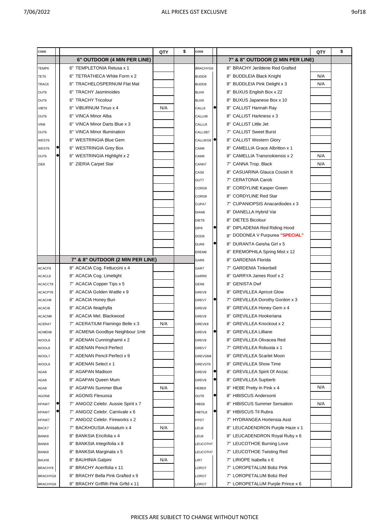| CODE     |  |                                     | QTY | \$<br>CODE           |           |                                     | QTY | \$ |
|----------|--|-------------------------------------|-----|----------------------|-----------|-------------------------------------|-----|----|
|          |  | 6" OUTDOOR (4 MIN PER LINE)         |     |                      |           | 7" & 8" OUTDOOR (2 MIN PER LINE)    |     |    |
| TEMP6    |  | 6" TEMPLETONIA Retusa x 1           |     | BRACHYG8             |           | 8" BRACHY Jerilderie Red Grafted    |     |    |
| TET6     |  | 6" TETRATHECA White Form x 2        |     | BUDD8                |           | 8" BUDDLEIA Black Knight            | N/A |    |
| TRAC6    |  | 6" TRACHELOSPERNUM Flat Mat         |     | BUDD8                |           | 8" BUDDLEIA Pink Delight x 3        | N/A |    |
| OUT6     |  | 6" TRACHY Jasminoides               |     | BUX8                 |           | 8" BUXUS English Box x 22           |     |    |
| OUT6     |  | 6" TRACHY Tricolour                 |     | BUX8                 |           | 8" BUXUS Japanese Box x 10          |     |    |
| VIBT6    |  | 6" VIBURNUM Tinus x 4               | N/A | CALL8                |           | 8" CALLIST Hannah Ray               |     |    |
| OUT6     |  | 6" VINCA Minor Alba                 |     | CALLH8               |           | 8" CALLIST Harkness x 3             |     |    |
| VIN6     |  | 6" VINCA Minor Darts Blue x 3       |     | CALLL8               |           | 8" CALLIST Little Jet               |     |    |
| OUT6     |  | 6" VINCA Minor Illumination         |     | CALLSB7              |           | 7" CALLIST Sweet Burst              |     |    |
| WEST6    |  | 6" WESTRINGIA Blue Gem              |     | CALLWG8 <sup>1</sup> |           | 8" CALLIST Western Glory            |     |    |
| WEST6    |  | 6" WESTRINGIA Grey Box              |     | CAM <sub>8</sub>     |           | 8" CAMELLIA Grace Albritton x 1     |     |    |
| OUT6     |  | 6" WESTRINGIA Highlight x 2         |     | CAM <sub>8</sub>     |           | 8" CAMELLIA Transnokiensis x 2      | N/A |    |
| ZIE6     |  | 6" ZIERIA Carpet Star               |     | CANN7                |           | 7" CANNA Trop. Black                | N/A |    |
|          |  |                                     |     | CAS8                 |           | 8" CASUARINA Glauca Cousin It       |     |    |
|          |  |                                     |     | OUT7                 |           | 7" CERATONIA Carob                  |     |    |
|          |  |                                     |     | CORD8                |           | 8" CORDYLINE Kasper Green           |     |    |
|          |  |                                     |     | CORD8                |           | 8" CORDYLINE Red Star               |     |    |
|          |  |                                     |     | CUPA7                |           | 7" CUPANIOPSIS Anacardiodes x 3     |     |    |
|          |  |                                     |     | DIAN <sub>8</sub>    |           | DIANELLA Hybrid Var<br>8"           |     |    |
|          |  |                                     |     | DIET8                |           | <b>DIETES Bicolour</b><br>8"        |     |    |
|          |  |                                     |     | DIP <sub>8</sub>     |           | 8" DIPLADENIA Red Riding Hood       |     |    |
|          |  |                                     |     | DOD <sub>8</sub>     |           | 8" DODONEA V Purpurea "SPECIAL"     |     |    |
|          |  |                                     |     | DUR8                 |           | 8" DURANTA Geisha Girl x 5          |     |    |
|          |  |                                     |     | EREM8                |           | 8" EREMOPHILA Spring Mist x 12      |     |    |
|          |  | 7" & 8" OUTDOOR (2 MIN PER LINE)    |     | GAR8                 |           | 8" GARDENIA Florida                 |     |    |
| ACACF8   |  | 8" ACACIA Cog. Fettuccini x 4       |     | GAR7                 |           | 7" GARDENIA Tinkerbell              |     |    |
| ACACL8   |  | 8" ACACIA Cog. Limelight            |     | GARR8                |           | GARRYA James Roof x 2<br>8"         |     |    |
| ACACCT8  |  | 7" ACACIA Copper Tips x 5           |     | GEN8                 |           | <b>GENISTA Dwf</b><br>8"            |     |    |
| ACACPY8  |  | 8" ACACIA Golden Wattle x 9         |     | GREV8                |           | <b>GREVILLEA Apricot Glow</b><br>8" |     |    |
| ACACH8   |  | 8" ACACIA Honey Bun                 |     | GREV7                |           | 7" GREVILLEA Dorothy Gordon x 3     |     |    |
| ACACI8   |  | 8" ACACIA Iteaphylla                |     | GREV8                |           | 8" GREVILLEA Honey Gem x 4          |     |    |
| ACACM8   |  | 8" ACACIA Mel. Blackwood            |     | GREV8                |           | 8" GREVILLEA Hookeriana             |     |    |
| ACERA7   |  | 7" ACERATIUM Flamingo Belle x 3     | N/A | GREVK8               |           | 8" GREVILLEA Knockout x 2           |     |    |
| ACMEN8   |  | 8" ACMENA Goodbye Neighbour 1mtr    |     | GREV8                | $\bullet$ | 8" GREVILLEA Lilliane               |     |    |
| WOOL8    |  | 8" ADENAN Cunninghamii x 2          |     | GREV8                |           | <b>GREVILLEA Olivacea Red</b><br>8" |     |    |
| WOOL8    |  | 8" ADENAN Pencil Perfect            |     | GREV7                |           | <b>GREVILLEA Robusta x 1</b><br>7"  |     |    |
| WOOL7    |  | 7" ADENAN Pencil Perfect x 9        |     | GREVSM8              |           | <b>GREVILLEA Scarlet Moon</b><br>8" |     |    |
| WOOL8    |  | 8" ADENAN Select x 1                |     | GREVST8              |           | 8" GREVILLEA Show Time              |     |    |
| AGA8     |  | 8" AGAPAN Madison                   |     | GREV8                |           | 8" GREVILLEA Spirit Of Anzac        |     |    |
| AGA8     |  | 8" AGAPAN Queen Mum                 |     | GREV8                |           | 8" GREVILLEA Supberb                |     |    |
| AGA8     |  | 8" AGAPAN Summer Blue               | N/A | HEBE8                |           | 8" HEBE Pretty In Pink x 4          | N/A |    |
| AGON8    |  | 8" AGONIS Flexuosa                  |     | OUT8                 |           | 8" HIBISCUS Andersonii              |     |    |
| KPAW7    |  | 7" ANIGOZ Celebr. Aussie Spirit x 7 |     | HIBS8                |           | 8" HIBISCUS Summer Sensation        | N/A |    |
| KPAW7    |  | 7" ANIGOZ Celebr. Carnivale x 6     |     | HIBTIL8              |           | 8" HIBISCUS Til Rubra               |     |    |
| KPAW7    |  | 7" ANIGOZ Celebr. Fireworks x 2     |     | HYD7                 |           | 7" HYDRANGEA Hortensia Asst         |     |    |
| BACK7    |  | 7" BACKHOUSIA Anisatum x 4          | N/A | LEU8                 |           | 8" LEUCADENDRON Purple Haze x 1     |     |    |
| BANK8    |  | 8" BANKSIA Ericifolia x 4           |     | LEU8                 |           | 8" LEUCADENDRON Royal Ruby x 6      |     |    |
| BANK8    |  | 8" BANKSIA Integrifolia x 8         |     | LEUCOTH7             |           | 7" LEUCOTHOE Burning Love           |     |    |
| BANK8    |  | 8" BANKSIA Marginata x 5            |     | LEUCOTH7             |           | 7" LEUCOTHOE Twisting Red           |     |    |
| BAUH8    |  | 8" BAUHINIA Galpini                 | N/A | LIR7                 |           | 7" LIRIOPE Isabella x 6             |     |    |
| BRACHY8  |  | 8" BRACHY Acerifolia x 11           |     | LORO7                |           | 7" LOROPETALUM Bobz Pink            |     |    |
| BRACHYG8 |  | 8" BRACHY Bella Pink Grafted x 9    |     | LORO7                |           | 7" LOROPETALUM Bobz Red             |     |    |
| BRACHYG8 |  | 8" BRACHY Griffith Pink Grftd x 11  |     | LORO7                |           | 7" LOROPETALUM Purple Prince x 6    |     |    |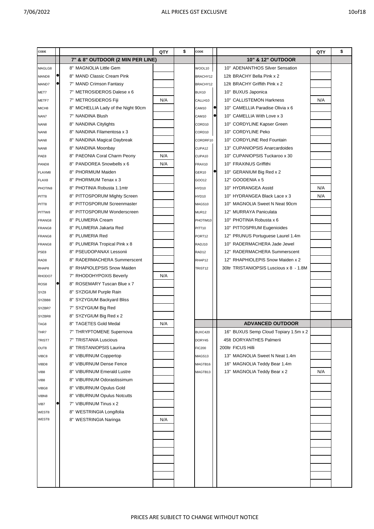| CODE              |                                        | QTY | \$<br>CODE          |                                         | QTY | \$ |
|-------------------|----------------------------------------|-----|---------------------|-----------------------------------------|-----|----|
|                   | 7" & 8" OUTDOOR (2 MIN PER LINE)       |     |                     | <b>10" &amp; 12" OUTDOOR</b>            |     |    |
| MAGLG8            | 8" MAGNOLIA Little Gem                 |     | WOOL10              | 10" ADENANTHOS Silver Sensation         |     |    |
| MAND8             | 8" MAND Classic Cream Pink             |     | BRACHY12            | 12It BRACHY Bella Pink x 2              |     |    |
| MAND7             | 7" MAND Crimson Fantasy                |     | BRACHY12            | 12It BRACHY Griffith Pink x 2           |     |    |
| MET7              | 7" METROSIDEROS Dalese x 6             |     | BUX10               | 10" BUXUS Japonica                      |     |    |
| METF7             | 7" METROSIDEROS Fiji                   | N/A | CALLH10             | 10" CALLISTEMON Harkness                | N/A |    |
| MICH <sub>8</sub> | MICHELLIA Lady of the Night 90cm<br>8" |     | CAM10               | 10" CAMELLIA Paradise Olivia x 6        |     |    |
| NAN7              | NANDINA Blush<br>7"                    |     | CAM10               | 10" CAMELLIA With Love x 3              |     |    |
| NAN8              | <b>NANDINA Citylights</b><br>8"        |     | CORD10              | 10" CORDYLINE Kapser Green              |     |    |
| NAN8              | NANDINA Filamentosa x 3<br>8"          |     | CORD10              | 10" CORDYLINE Peko                      |     |    |
| NAN8              | 8" NANDINA Magical Daybreak            |     | CORDRF10            | 10" CORDYLINE Red Fountain              |     |    |
| NAN8              | 8" NANDINA Moonbay                     |     | CUPA12              | 13" CUPANIOPSIS Anarcardoides           |     |    |
| PAE8              | 8" PAEONIA Coral Charm Peony           | N/A | CUPA10              | 10" CUPANIOPSIS Tuckaroo x 30           |     |    |
| PAND8             | 8" PANDOREA Snowbells x 6              | N/A | FRAX10              | 10" FRAXINUS Griffithi                  |     |    |
| FLAXM8            | 8" PHORMIUM Maiden                     |     | GER10               | 10" GERANIUM Big Red x 2                |     |    |
| FLAX8             | PHORMIUM Tenax x 3<br>8"               |     | GOO12               | 12" GOODENIA x 5                        |     |    |
| PHOTIN8           | PHOTINIA Robusta 1.1mtr<br>8"          |     | HYD10               | 10" HYDRANGEA Asstd                     | N/A |    |
| PITT8             | 8" PITTOSPORUM Mighty Screen           |     | HYD10               | 10" HYDRANGEA Black Lace x 3            | N/A |    |
| PITT8             | PITTOSPORUM Screenmaster<br>8"         |     | MAGS10              | 10" MAGNOLIA Sweet N Neat 90cm          |     |    |
| PITTW8            | 8" PITTOSPORUM Wonderscreen            |     | MUR <sub>12</sub>   | 12" MURRAYA Paniculata                  |     |    |
| FRANG8            | 8" PLUMERIA Cream                      |     | PHOTIM10            | 10" PHOTINIA Robusta x 6                |     |    |
| FRANG8            | 8" PLUMERIA Jakarta Red                |     | PITT10              | 10" PITTOSPRUM Eugenioides              |     |    |
| FRANG8            | 8" PLUMERIA Red                        |     | PORT12              | 12" PRUNUS Portuguese Laurel 1.4m       |     |    |
| FRANG8            | 8" PLUMERIA Tropical Pink x 8          |     | RADJ10              | 10" RADERMACHERA Jade Jewel             |     |    |
| PSE8              | PSEUDOPANAX Lessonii<br>8"             |     | RAD <sub>12</sub>   | 12" RADERMACHERA Summerscent            |     |    |
| RAD8              | RADERMACHERA Summerscent<br>8"         |     | RHAP12              | 12" RHAPHIOLEPIS Snow Maiden x 2        |     |    |
| RHAP8             | <b>RHAPIOLEPSIS Snow Maiden</b><br>8"  |     | TRIST <sub>12</sub> | 30ltr TRISTANIOPSIS Luscious x 8 - 1.8M |     |    |
| RHODO7            | 7" RHODOHYPOXIS Beverly                | N/A |                     |                                         |     |    |
| ROS8              | 8" ROSEMARY Tuscan Blue x 7            |     |                     |                                         |     |    |
| SYZ8              | 8" SYZIGIUM Purple Rain                |     |                     |                                         |     |    |
| SYZBB8            | 8" SYZYGIUM Backyard Bliss             |     |                     |                                         |     |    |
| SYZBR7            | 7" SYZYGIUM Big Red                    |     |                     |                                         |     |    |
| SYZBR8            | 8" SYZYGIUM Big Red x 2                |     |                     |                                         |     |    |
| TAG8              | 8" TAGETES Gold Medal                  | N/A |                     | <b>ADVANCED OUTDOOR</b>                 |     |    |
| THR7              | 7" THRYPTOMENE Supernova               |     | <b>BUXC420</b>      | 16" BUXUS Semp Cloud Topiary 1.5m x 2   |     |    |
| TRIST7            | 7" TRISTANIA Luscious                  |     | DORY45              | 45lt DORYANTHES Palmerii                |     |    |
| OUT8              | 8" TRISTANIOPSIS Laurina               |     | <b>FIC200</b>       | 200ltr FICUS Hilli                      |     |    |
| VIBC8             | 8" VIBURNUM Coppertop                  |     | MAGS13              | 13" MAGNOLIA Sweet N Neat 1.4m          |     |    |
| VIBD8             | 8" VIBURNUM Dense Fence                |     | MAGTB16             | 16" MAGNOLIA Teddy Bear 1.4m            |     |    |
| VIB8              | 8" VIBURNUM Emerald Lustre             |     | MAGTB13             | 13" MAGNOLIA Teddy Bear x 2             | N/A |    |
| VIB8              | 8" VIBURNUM Odorastissimum             |     |                     |                                         |     |    |
|                   | 8" VIBURNUM Opulus Gold                |     |                     |                                         |     |    |
| VIBG8             | 8" VIBURNUM Opulus Notcutts            |     |                     |                                         |     |    |
| VIBN8             | 7" VIBURNUM Tinus x 2                  |     |                     |                                         |     |    |
| VIB7              | 8" WESTRINGIA Longifolia               |     |                     |                                         |     |    |
| WEST8<br>WEST8    | 8" WESTRINGIA Naringa                  | N/A |                     |                                         |     |    |
|                   |                                        |     |                     |                                         |     |    |
|                   |                                        |     |                     |                                         |     |    |
|                   |                                        |     |                     |                                         |     |    |
|                   |                                        |     |                     |                                         |     |    |
|                   |                                        |     |                     |                                         |     |    |
|                   |                                        |     |                     |                                         |     |    |
|                   |                                        |     |                     |                                         |     |    |
|                   |                                        |     |                     |                                         |     |    |
|                   |                                        |     |                     |                                         |     |    |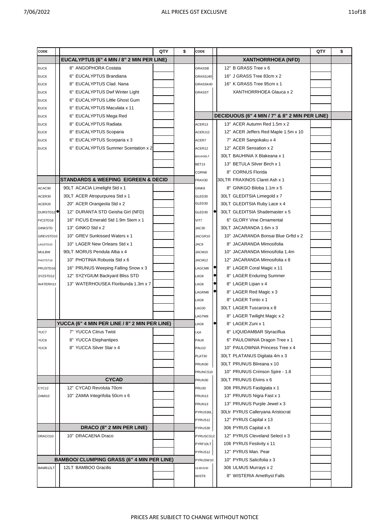| CODE                  |                                                   | QTY | \$<br>CODE   |           |                                               | QTY | \$ |
|-----------------------|---------------------------------------------------|-----|--------------|-----------|-----------------------------------------------|-----|----|
|                       | <b>EUCALYPTUS (6" 4 MIN / 8" 2 MIN PER LINE)</b>  |     |              |           | <b>XANTHORRHOEA (NFD)</b>                     |     |    |
| EUC8                  | 8" ANGOPHORA Costata                              |     | GRASSB       |           | 12" B GRASS Tree x 6                          |     |    |
| EUC6                  | 6" EUCALYPTUS Brandiana                           |     | GRASSJ40     |           | 16" J GRASS Tree 83cm x 2                     |     |    |
| EUC8                  | 8" EUCALYPTUS Clad. Nana                          |     | GRASSK40     |           | 16" K GRASS Tree 95cm x 1                     |     |    |
| EUC6                  | 6" EUCALYPTUS Dwf Winter Light                    |     | GRASST       |           | XANTHORRHOEA Glauca x 2                       |     |    |
| EUC6                  | 6" EUCALYPTUS Little Ghost Gum                    |     |              |           |                                               |     |    |
| EUC6                  | 6" EUCALYPTUS Maculata x 11                       |     |              |           |                                               |     |    |
| EUC6                  | 6" EUCALYPTUS Mega Red                            |     |              |           | DECIDUOUS (6" 4 MIN / 7" & 8" 2 MIN PER LINE) |     |    |
| EUC8                  | 8" EUCALYPTUS Radiata                             |     | ACER13       |           | 13" ACER Autumn Red 1.5m x 2                  |     |    |
| EUC8                  | 8" EUCALYPTUS Scoparia                            |     | ACERJ12      |           | 12" ACER Jeffers Red Maple 1.5m x 10          |     |    |
| EUC6                  | 6" EUCALYPTUS Scorparia x 3                       |     | ACER7        |           | 7" ACER Sangokaku x 4                         |     |    |
| EUC6                  | 6" EUCALYPTUS Summer Scentation x 2               |     | ACER12       |           | 12" ACER Sensation x 2                        |     |    |
|                       |                                                   |     | BAUH30LT     |           | 30LT BAUHINIA X Blakeana x 1                  |     |    |
|                       |                                                   |     | BET13        |           | 13" BETULA Silver Birch x 1                   |     |    |
|                       |                                                   |     | CORN8        |           | 8" CORNUS Florida                             |     |    |
|                       | STANDARDS & WEEPING E/GREEN & DECID               |     | FRAX30       |           | 30LTR FRAXINOS Claret Ash x 1                 |     |    |
| ACAC90                | 90LT ACACIA Limelight Std x 1                     |     | GINK8        |           | 8" GINKGO Biloba 1.1m x 5                     |     |    |
| ACER30                | 30LT ACER Atropurpurea Std x 1                    |     | GLED30       |           | 30LT GLEDITSIA Limegold x 7                   |     |    |
| ACER20                | 20" ACER Orangeola Std x 2                        |     | GLED30       |           | 30LT GLEDITSIA Ruby Lace x 4                  |     |    |
| DURSTD12 <sup>9</sup> | 12" DURANTA STD Geisha Girl (NFD)                 |     | GLED30       | $\bullet$ | 30LT GLEDITSIA Shademaster x 5                |     |    |
| FICSTD16              | 16" FICUS Emerald Std 1.9m Stem x 1               |     | VIT7         |           | 6" GLORY Vine Ornamental                      |     |    |
| <b>GINKSTD</b>        | 13" GINKO Std x 2                                 |     | JAC30        |           | 30LT JACARANDA 1.6m x 3                       |     |    |
| GREVSTD10             | 10" GREV Sunkissed Waters x 1                     |     | JACGR10      |           | 10" JACARANDA Bonsai Blue Grftd x 2           |     |    |
| LAGSTD10              | 10" LAGER New Orleans Std x 1                     |     | JAC8         |           | 8" JACARANDA Mimosifolia                      |     |    |
| <b>MULBW</b>          | 90LT MORUS Pendula Alba x 4                       |     | JACM10       |           | 10" JACARANDA Mimosifolia 1.4m                |     |    |
| PHOTST10              | 10" PHOTINIA Robusta Std x 6                      |     | JACM12       |           | 12" JACARANDA Mimosifolia x 8                 |     |    |
| PRUSTD16              | 16" PRUNUS Weeping Falling Snow x 3               |     | LAGCM8       | $\bullet$ | 8" LAGER Coral Magic x 11                     |     |    |
| SYZSTD12              | 12" SYZYGIUM Backyard Bliss STD                   |     | LAG8         |           | 8" LAGER Enduring Summer                      |     |    |
| WATERH13              | 13" WATERHOUSEA Floribunda 1.3m x 7               |     | LAG8         | $\bullet$ | 8" LAGER Lipan x 4                            |     |    |
|                       |                                                   |     | LAGRM8       | $\bullet$ | 8" LAGER Red Magic x 3                        |     |    |
|                       |                                                   |     | LAG8         |           | 8" LAGER Tonto x 1                            |     |    |
|                       |                                                   |     | LAG30        |           | 30LT LAGER Tuscarora x 8                      |     |    |
|                       |                                                   |     | LAGTM8       |           | 8" LAGER Twilight Magic x 2                   |     |    |
|                       | YUCCA (6" 4 MIN PER LINE / 8" 2 MIN PER LINE)     |     | LAG8         | $\bullet$ | 8" LAGER Zuni x 1                             |     |    |
| YUC7                  | 7" YUCCA Citrus Twist                             |     | LIQ8         |           | 8" LIQUIDAMBAR Styraciflua                    |     |    |
| YUC8                  | 8" YUCCA Elephantipes                             |     | PAU6         |           | 6" PAULOWNIA Dragon Tree x 1                  |     |    |
| YUC8                  | 8" YUCCA Silver Star x 4                          |     | <b>PAU10</b> |           | 10" PAULOWNIA Princess Tree x 4               |     |    |
|                       |                                                   |     | PLAT30       |           | 30LT PLATANUS Digitata 4m x 3                 |     |    |
|                       |                                                   |     | PRUN30       |           | 30LT PRUNUS Blireana x 10                     |     |    |
|                       |                                                   |     | PRUNCS10     |           | 10" PRUNUS Crimson Spire - 1.8                |     |    |
|                       | <b>CYCAD</b>                                      |     | PRUN30       |           | 30LT PRUNUS Elvins x 6                        |     |    |
| CYC12                 | 12" CYCAD Revoluta 70cm                           |     | <b>PRU30</b> |           | 30lt PRUNUS Fastigiata x 1                    |     |    |
| ZAMI10                | 10" ZAMIA Integrifolia 50cm x 6                   |     | PRUN13       |           | 13" PRUNUS Nigra Fast x 1                     |     |    |
|                       |                                                   |     | PRUN13       |           | 13" PRUNUS Purple Jewel x 3                   |     |    |
|                       |                                                   |     | PYRUS30L     |           | 30Ltr PYRUS Calleryana Aristocrat             |     |    |
|                       |                                                   |     | PYRUS12      |           | 12" PYRUS Capital x 13                        |     |    |
|                       | DRACO (8" 2 MIN PER LINE)                         |     | PYRUS30      |           | 30lt PYRUS Capital x 6                        |     |    |
| DRACO10               | 10" DRACAENA Draco                                |     | PYRUSCS12    |           | 12" PYRUS Cleveland Select x 3                |     |    |
|                       |                                                   |     | PYRF10LT     |           | 10lt PYRUS Festivity x 11                     |     |    |
|                       |                                                   |     | PYRUS12      |           | 12" PYRUS Man. Pear                           |     |    |
|                       | <b>BAMBOO/ CLUMPING GRASS (6" 4 MIN PER LINE)</b> |     | PYRUSW10     |           | 10" PYRUS Salicifolia x 3                     |     |    |
| BAMB12LT              | 12LT BAMBOO Gracilis                              |     | ULMUS30      |           | 30lt ULMUS Murrays x 2                        |     |    |
|                       |                                                   |     | WIST8        |           | 8" WISTERIA Amethyst Falls                    |     |    |
|                       |                                                   |     |              |           |                                               |     |    |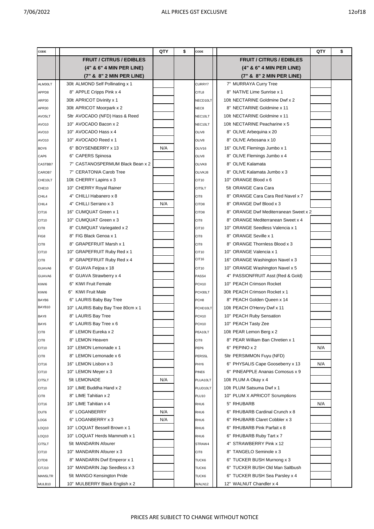| CODE              |                                   | QTY | \$<br>CODE        |                                       | QTY | \$ |
|-------------------|-----------------------------------|-----|-------------------|---------------------------------------|-----|----|
|                   | <b>FRUIT / CITRUS / EDIBLES</b>   |     |                   | <b>FRUIT / CITRUS / EDIBLES</b>       |     |    |
|                   | (4" & 6" 4 MIN PER LINE)          |     |                   | (4" & 6" 4 MIN PER LINE)              |     |    |
|                   | (7" & 8" 2 MIN PER LINE)          |     |                   | (7" & 8" 2 MIN PER LINE)              |     |    |
| ALM30LT           | 30lt ALMOND Self Pollinating x 1  |     | <b>CURRY7</b>     | 7" MURRAYA Curry Tree                 |     |    |
| APPD8             | 8" APPLE Cripps Pink x 4          |     | CITL8             | 8" NATIVE Lime Sunrise x 1            |     |    |
| ARP30             | 30lt APRICOT Divinity x 1         |     | NECD10LT          | 10lt NECTARINE Goldmine Dwf x 2       |     |    |
| APR30             | 30lt APRICOT Moorpark x 2         |     | NEC <sub>8</sub>  | 8" NECTARINE Goldmine x 11            |     |    |
| AVO5LT            | 5ltr AVOCADO (NFD) Hass & Reed    |     | NEC10LT           | 10lt NECTARINE Goldmine x 11          |     |    |
| AVO10             | 10" AVOCADO Bacon x 2             |     | NEC10LT           | 10lt NECTARINE Peacharine x 5         |     |    |
| AVO10             | 10" AVOCADO Hass x 4              |     | OLIV8             | 8" OLIVE Arbequina x 20               |     |    |
| AVO10             | 10" AVOCADO Reed x 1              |     | OLIV8             | 8" OLIVE Arbosana x 10                |     |    |
| BOY6              | 6" BOYSENBERRY x 13               | N/A | OLIV16            | 16" OLIVE Flemings Jumbo x 1          |     |    |
| CAP <sub>6</sub>  | 6" CAPERS Spinosa                 |     | OLIV8             | 8" OLIVE Flemings Jumbo x 4           |     |    |
| CASTBB7           | 7" CASTANOSPERMUM Black Bean x 2  |     | OLIVK8            | 8" OLIVE Kalamata                     |     |    |
| CAROB7            | 7" CERATONIA Carob Tree           |     | OLIVKJ8           | 8" OLIVE Kalamata Jumbo x 3           |     |    |
| CHE10LT           | 10It CHERRY Lapins x 3            |     | CIT10             | 10" ORANGE Blood x 6                  |     |    |
| CHE <sub>10</sub> | 10" CHERRY Royal Rainer           |     | CIT5LT            | 5lt ORANGE Cara Cara                  |     |    |
| CHIL4             | 4" CHILLI Habanero x 8            |     | CIT8              | 8" ORANGE Cara Cara Red Navel x 7     |     |    |
| CHIL4             | 4" CHILLI Serrano x 3             | N/A | CITD <sub>8</sub> | 8" ORANGE Dwf Blood x 3               |     |    |
| CIT16             | 16" CUMQUAT Green x 1             |     | CITD <sub>8</sub> | 8" ORANGE Dwf Mediterranean Sweet x 2 |     |    |
| <b>CIT10</b>      | 10" CUMQUAT Green x 3             |     | CIT8              | 8" ORANGE Mediterranean Sweet x 4     |     |    |
| CIT8              | 8" CUMQUAT Variegated x 2         |     | CIT10             | 10" ORANGE Seedless Valencia x 1      |     |    |
| FIG8              | 8" FIG Black Genoa x 1            |     | CIT8              | 8" ORANGE Seville x 1                 |     |    |
| CIT8              | 8" GRAPEFRUIT Marsh x 1           |     | CIT8              | 8" ORANGE Thornless Blood x 3         |     |    |
| <b>CIT10</b>      | 10" GRAPEFRUIT Ruby Red x 1       |     | <b>CIT10</b>      | 10" ORANGE Valencia x 1               |     |    |
| CIT8              | 8" GRAPEFRUIT Ruby Red x 4        |     | CIT16             | 16" ORANGE Washington Navel x 3       |     |    |
| GUAVA6            | 6" GUAVA Feijoa x 18              |     | <b>CIT10</b>      | 10" ORANGE Washington Navel x 5       |     |    |
| GUAVA6            | 6" GUAVA Strawberry x 4           |     | PASS4             | 4" PASSIONFRUIT Asst (Red & Gold)     |     |    |
| KIWI6             | 6" KIWI Fruit Female              |     | PCH <sub>10</sub> | 10" PEACH Crimson Rocket              |     |    |
| KIW <sub>I6</sub> | <b>KIWI Fruit Male</b><br>6"      |     | PCH30LT           | 30lt PEACH Crimson Rocket x 1         |     |    |
| BAYB6             | 6" LAURIS Baby Bay Tree           |     | PCH <sub>8</sub>  | 8" PEACH Golden Queen x 14            |     |    |
| BAYB10            | 10" LAURIS Baby Bay Tree 80cm x 1 |     | PCHD10LT          | 10lt PEACH O'Henry Dwf x 11           |     |    |
| BAY8              | 8" LAURIS Bay Tree                |     | PCH <sub>10</sub> | 10" PEACH Ruby Sensation              |     |    |
| BAY6              | 6" LAURIS Bay Tree x 6            |     | PCH <sub>10</sub> | 10" PEACH Tasty Zee                   |     |    |
| CIT8              | 8" LEMON Eureka x 2               |     | PEA10LT           | 10lt PEAR Lemon Berg x 2              |     |    |
| CIT8              | 8" LEMON Heaven                   |     | CIT8              | 8" PEAR William Ban Chretien x 1      |     |    |
| <b>CIT10</b>      | 10" LEMON Lemonade x 1            |     | PEP <sub>6</sub>  | 6" PEPINO x 2                         | N/A |    |
| CIT8              | 8" LEMON Lemonade x 6             |     | PERS5L            | 5ltr PERSIMMON Fuyu (NFD)             |     |    |
| <b>CIT16</b>      | 16" LEMON Lisbon x 3              |     | PHY6              | 6" PHYSALIS Cape Gooseberry x 13      | N/A |    |
| <b>CIT10</b>      | 10" LEMON Meyer x 3               |     | PINE6             | 6" PINEAPPLE Ananas Comosus x 9       |     |    |
| CIT5LT            | 5lt LEMONADE                      | N/A | PLUA10LT          | 10lt PLUM A Okay x 4                  |     |    |
| <b>CIT10</b>      | 10" LIME Buddha Hand x 2          |     | PLUD10LT          | 10lt PLUM Satsuma Dwf x 1             |     |    |
| CIT8              | 8" LIME Tahitian x 2              |     | PLU10             | 10" PLUM X APRICOT Scrumptions        |     |    |
| <b>CIT16</b>      | 16" LIME Tahitian x 4             |     | RHU6              | 5" RHUBARB                            | N/A |    |
| OUT6              | 6" LOGANBERRY                     | N/A | RHU6              | 6" RHUBARB Cardinal Crunch x 8        |     |    |
| LOG6              | 6" LOGANBERRY x 3                 | N/A | RHU6              | RHUBARB Claret Cobbler x 3<br>6"      |     |    |
| LOQ10             | 10" LOQUAT Bessell Brown x 1      |     | RHU6              | 6" RHUBARB Pink Parfait x 8           |     |    |
| LOQ10             | 10" LOQUAT Herds Mammoth x 1      |     | RHU6              | RHUBARB Ruby Tart x 7<br>6"           |     |    |
| CIT5LT            | 5It MANDARIN Afourer              |     | STRAW4            | 4" STRAWBERRY Pink x 12               |     |    |
| <b>CIT10</b>      | 10" MANDARIN Afourer x 3          |     | CIT8              | 8" TANGELO Seminole x 3               |     |    |
| CITD <sub>8</sub> | 8" MANDARIN Dwf Emperor x 1       |     | <b>TUCK6</b>      | 6" TUCKER BUSH Murnong x 3            |     |    |
| CITJ10            | 10" MANDARIN Jap Seedless x 3     |     | <b>TUCK6</b>      | 6" TUCKER BUSH Old Man Saltbush       |     |    |
| MAN5LTR           | 5It MANGO Kensington Pride        |     | TUCK6             | 6" TUCKER BUSH Sea Parsley x 4        |     |    |
| MULB10            | 10" MULBERRY Black English x 2    |     | WALN12            | 12" WALNUT Chandler x 4               |     |    |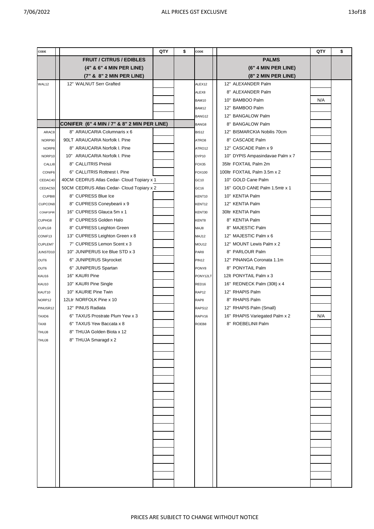| CODE           |                                             | QTY | \$<br>CODE         | QTY                                   | \$ |
|----------------|---------------------------------------------|-----|--------------------|---------------------------------------|----|
|                | <b>FRUIT / CITRUS / EDIBLES</b>             |     |                    | <b>PALMS</b>                          |    |
|                | (4" & 6" 4 MIN PER LINE)                    |     |                    | (6" 4 MIN PER LINE)                   |    |
|                | (7" & 8" 2 MIN PER LINE)                    |     |                    | (8" 2 MIN PER LINE)                   |    |
| WAL12          | 12" WALNUT Serr Grafted                     |     | ALEX12             | 12" ALEXANDER Palm                    |    |
|                |                                             |     | ALEX8              | 8" ALEXANDER Palm                     |    |
|                |                                             |     | BAM10              | 10" BAMBOO Palm<br>N/A                |    |
|                |                                             |     | BAM12              | 12" BAMBOO Palm                       |    |
|                |                                             |     | BANG12             | 12" BANGALOW Palm                     |    |
|                | CONIFER (6" 4 MIN / 7" & 8" 2 MIN PER LINE) |     | BANG8              | 8" BANGALOW Palm                      |    |
| ARAC8          | 8" ARAUCARIA Columnaris x 6                 |     | <b>BIS12</b>       | 12" BISMARCKIA Nobilis 70cm           |    |
| NORP90         | 90LT ARAUCARIA Norfolk I. Pine              |     | ATRO8              | 8" CASCADE Palm                       |    |
| NORP8          | 8" ARAUCARIA Norfolk I. Pine                |     | ATRO12             | 12" CASCADE Palm x 9                  |    |
| NORP10         | 10" ARAUCARIA Norfolk I. Pine               |     | DYP10              | 10" DYPIS Ampasindavae Palm x 7       |    |
| CALLI8         | 8" CALLITRIS Preisii                        |     | FOX35              | 35ltr FOXTAIL Palm 2m                 |    |
| CONIF6         | 6" CALLITRIS Rottnest I. Pine               |     | FOX100             | 100ltr FOXTAIL Palm 3.5m x 2          |    |
| CEDAC40        | 40CM CEDRUS Atlas Cedar- Cloud Topiary x 1  |     | GC10               | 10" GOLD Cane Palm                    |    |
| CEDAC50        | 50CM CEDRUS Atlas Cedar- Cloud Topiary x 2  |     | GC <sub>16</sub>   | 16" GOLD CANE Palm 1.5mtr x 1         |    |
| CUPBI8         | 8" CUPRESS Blue Ice                         |     | KENT <sub>10</sub> | 10" KENTIA Palm                       |    |
| CUPCON8        | 8" CUPRESS Coneybearii x 9                  |     | KENT12             | 12" KENTIA Palm                       |    |
| CONIFSPIR      | 16" CUPRESS Glauca 5m x 1                   |     | KENT30             | 30ltr KENTIA Palm                     |    |
| CUPHG8         | 8" CUPRESS Golden Halo                      |     | KENT8              | 8" KENTIA Palm                        |    |
| CUPLG8         | 8" CUPRESS Leighton Green                   |     | <b>MAJ8</b>        | 8" MAJESTIC Palm                      |    |
| CONIF13        | 13" CUPRESS Leighton Green x 8              |     | MAJ12              | 12" MAJESTIC Palm x 6                 |    |
| <b>CUPLEM7</b> | 7" CUPRESS Lemon Scent x 3                  |     | MOU12              | 12" MOUNT Lewis Palm x 2              |    |
| JUNSTD10       | 10" JUNIPERUS Ice Blue STD x 3              |     | PAR8               | 8" PARLOUR Palm                       |    |
| OUT6           | 6" JUNIPERUS Skyrocket                      |     | <b>PIN12</b>       | 12" PINANGA Coronata 1.1m             |    |
| OUT6           | 6" JUNIPERUS Spartan                        |     | PONY8              | 8" PONYTAIL Palm                      |    |
| KAU16          | 16" KAURI Pine                              |     | PONY12LT           | 12lt PONYTAIL Palm x 3                |    |
| KAU10          | 10" KAURI Pine Single                       |     | RED <sub>16</sub>  | 16" REDNECK Palm (30lt) x 4           |    |
| KAUT10         | 10" KAURIE Pine Twin                        |     | RAP <sub>12</sub>  | 12" RHAPIS Palm                       |    |
| NORP12         | 12Ltr NORFOLK Pine x 10                     |     | RAP8               | 8" RHAPIS Palm                        |    |
| PINUSR12       | 12" PINUS Radiata                           |     | RAPS12             | 12" RHAPIS Palm (Small)               |    |
| TAXD6          | 6" TAXUS Prostrate Plum Yew x 3             |     | RAPV16             | N/A<br>16" RHAPIS Variegated Palm x 2 |    |
| TAX8           | 6" TAXUS Yew Baccata x 8                    |     | ROEB8              | 8" ROEBELINII Palm                    |    |
| <b>THUJ8</b>   | 8" THUJA Golden Biota x 12                  |     |                    |                                       |    |
| <b>RLUHT</b>   | 8" THUJA Smaragd x 2                        |     |                    |                                       |    |
|                |                                             |     |                    |                                       |    |
|                |                                             |     |                    |                                       |    |
|                |                                             |     |                    |                                       |    |
|                |                                             |     |                    |                                       |    |
|                |                                             |     |                    |                                       |    |
|                |                                             |     |                    |                                       |    |
|                |                                             |     |                    |                                       |    |
|                |                                             |     |                    |                                       |    |
|                |                                             |     |                    |                                       |    |
|                |                                             |     |                    |                                       |    |
|                |                                             |     |                    |                                       |    |
|                |                                             |     |                    |                                       |    |
|                |                                             |     |                    |                                       |    |
|                |                                             |     |                    |                                       |    |
|                |                                             |     |                    |                                       |    |
|                |                                             |     |                    |                                       |    |
|                |                                             |     |                    |                                       |    |
|                |                                             |     |                    |                                       |    |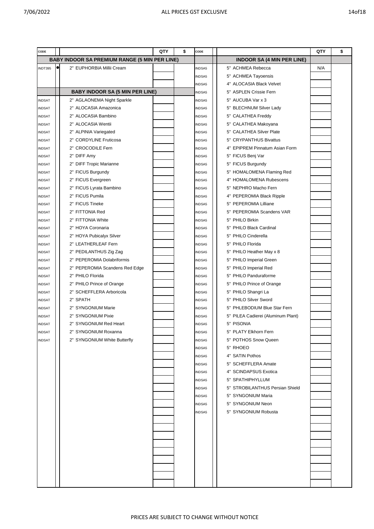| CODE          |           |                                                      | QTY | \$<br>CODE    |                                    | QTY | \$ |
|---------------|-----------|------------------------------------------------------|-----|---------------|------------------------------------|-----|----|
|               |           | <b>BABY INDOOR SA PREMIUM RANGE (5 MIN PER LINE)</b> |     |               | <b>INDOOR SA (4 MIN PER LINE)</b>  |     |    |
| INDT395       | $\bullet$ | 2" EUPHORBIA Millii Cream                            |     | <b>INDSA5</b> | 5" ACHMEA Rebecca                  | N/A |    |
|               |           |                                                      |     | <b>INDSA5</b> | 5" ACHMEA Tayoensis                |     |    |
|               |           |                                                      |     | <b>NDSA5</b>  | 4" ALOCASIA Black Velvet           |     |    |
|               |           | <b>BABY INDOOR SA (5 MIN PER LINE)</b>               |     | <b>INDSA5</b> | 5" ASPLEN Crissie Fern             |     |    |
| <b>INDSAT</b> |           | 2" AGLAONEMA Night Sparkle                           |     | <b>INDSA5</b> | 5" AUCUBA Var x 3                  |     |    |
| <b>INDSAT</b> |           | 2" ALOCASIA Amazonica                                |     | <b>INDSA5</b> | 5" BLECHNUM Silver Lady            |     |    |
| <b>INDSAT</b> |           | 2" ALOCASIA Bambino                                  |     | <b>INDSA5</b> | 5" CALATHEA Freddy                 |     |    |
| <b>INDSAT</b> |           | 2" ALOCASIA Wentii                                   |     | <b>INDSA5</b> | 5" CALATHEA Makoyana               |     |    |
| <b>INDSAT</b> |           | 2" ALPINIA Variegated                                |     | <b>INDSA5</b> | 5" CALATHEA Silver Plate           |     |    |
| <b>INDSAT</b> |           | 2" CORDYLINE Fruticosa                               |     | <b>INDSA5</b> | 5" CRYPANTHUS Bivattus             |     |    |
| <b>NDSAT</b>  |           | 2" CROCODILE Fern                                    |     | <b>INDSA5</b> | 4" EPIPREM Pinnatum Asian Form     |     |    |
| <b>INDSAT</b> |           | 2" DIFF Amy                                          |     | <b>INDSA5</b> | 5" FICUS Benj Var                  |     |    |
| <b>INDSAT</b> |           | 2" DIFF Tropic Marianne                              |     | INDSA5        | 5" FICUS Burgundy                  |     |    |
| <b>INDSAT</b> |           | 2" FICUS Burgundy                                    |     | <b>INDSA5</b> | 5" HOMALOMENA Flaming Red          |     |    |
| <b>NDSAT</b>  |           | 2" FICUS Evergreen                                   |     | <b>INDSA5</b> | <b>HOMALOMENA Rubescens</b><br>4"  |     |    |
| <b>NDSAT</b>  |           | 2" FICUS Lyrata Bambino                              |     | <b>NDSA5</b>  | 5" NEPHRO Macho Fern               |     |    |
| <b>INDSAT</b> |           | 2" FICUS Pumila                                      |     | <b>INDSA5</b> | 4" PEPEROMIA Black Ripple          |     |    |
| <b>INDSAT</b> |           | 2" FICUS Tineke                                      |     | <b>INDSA5</b> | 5" PEPEROMIA Lilliane              |     |    |
| <b>NDSAT</b>  |           | 2" FITTONIA Red                                      |     | <b>INDSA5</b> | 5" PEPEROMIA Scandens VAR          |     |    |
| <b>NDSAT</b>  |           | 2" FITTONIA White                                    |     | <b>INDSA5</b> | 5" PHILO Birkin                    |     |    |
| <b>INDSAT</b> |           | 2" HOYA Coronaria                                    |     | <b>INDSA5</b> | PHILO Black Cardinal<br>5"         |     |    |
| <b>INDSAT</b> |           | 2" HOYA Pubicalyx Silver                             |     | <b>INDSA5</b> | PHILO Cinderella<br>5"             |     |    |
| INDSAT        |           | 2" LEATHERLEAF Fern                                  |     | <b>INDSA5</b> | PHILO Florida<br>5"                |     |    |
| <b>NDSAT</b>  |           | 2" PEDILANTHUS Zig Zag                               |     | <b>NDSA5</b>  | 5" PHILO Heather May x 8           |     |    |
| <b>INDSAT</b> |           | 2" PEPEROMIA Dolabriformis                           |     | <b>INDSA5</b> | 5" PHILO Imperial Green            |     |    |
| <b>INDSAT</b> |           | 2" PEPEROMIA Scandens Red Edge                       |     | <b>INDSA5</b> | 5" PHILO Imperial Red              |     |    |
| <b>NDSAT</b>  |           | 2" PHILO Florida                                     |     | <b>INDSA5</b> | 5" PHILO Panduraforme              |     |    |
| <b>NDSAT</b>  |           | 2" PHILO Prince of Orange                            |     | <b>INDSA5</b> | 5" PHILO Prince of Orange          |     |    |
| <b>INDSAT</b> |           | 2" SCHEFFLERA Arboricola                             |     | <b>INDSA5</b> | 5" PHILO Shangri La                |     |    |
| <b>INDSAT</b> |           | 2" SPATH                                             |     | <b>INDSA5</b> | 5" PHILO Silver Sword              |     |    |
| INDSAT        |           | 2" SYNGONIUM Marie                                   |     | <b>INDSA5</b> | PHLEBODIUM Blue Star Fern<br>5"    |     |    |
| <b>NDSAT</b>  |           | 2" SYNGONIUM Pixie                                   |     | <b>NDSA5</b>  | 5" PILEA Cadierei (Aluminum Plant) |     |    |
| <b>INDSAT</b> |           | 2" SYNGONIUM Red Heart                               |     | INDSA5        | 5" PISONIA                         |     |    |
| <b>INDSAT</b> |           | 2" SYNGONIUM Roxanna                                 |     | <b>INDSA5</b> | 5" PLATY Elkhorn Fern              |     |    |
| <b>INDSAT</b> |           | 2" SYNGONIUM White Butterfly                         |     | INDSA5        | 5" POTHOS Snow Queen               |     |    |
|               |           |                                                      |     | INDSA5        | 5" RHOEO                           |     |    |
|               |           |                                                      |     | INDSA5        | 4" SATIN Pothos                    |     |    |
|               |           |                                                      |     | INDSA5        | 5" SCHEFFLERA Amate                |     |    |
|               |           |                                                      |     | INDSA5        | 4" SCINDAPSUS Exotica              |     |    |
|               |           |                                                      |     | INDSA5        | 5" SPATHIPHYLLUM                   |     |    |
|               |           |                                                      |     | INDSA5        | 5" STROBILANTHUS Persian Shield    |     |    |
|               |           |                                                      |     | INDSA5        | 5" SYNGONIUM Maria                 |     |    |
|               |           |                                                      |     | INDSA5        | 5" SYNGONIUM Neon                  |     |    |
|               |           |                                                      |     | INDSA5        | 5" SYNGONIUM Robusta               |     |    |
|               |           |                                                      |     |               |                                    |     |    |
|               |           |                                                      |     |               |                                    |     |    |
|               |           |                                                      |     |               |                                    |     |    |
|               |           |                                                      |     |               |                                    |     |    |
|               |           |                                                      |     |               |                                    |     |    |
|               |           |                                                      |     |               |                                    |     |    |
|               |           |                                                      |     |               |                                    |     |    |
|               |           |                                                      |     |               |                                    |     |    |
|               |           |                                                      |     |               |                                    |     |    |
|               |           |                                                      |     |               |                                    |     |    |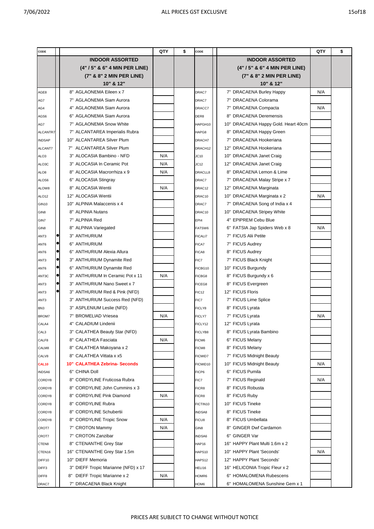| CODE              |                                     | QTY | \$<br>CODE       | QTY                                    | \$ |
|-------------------|-------------------------------------|-----|------------------|----------------------------------------|----|
|                   | <b>INDOOR ASSORTED</b>              |     |                  | <b>INDOOR ASSORTED</b>                 |    |
|                   | (4" / 5" & 6" 4 MIN PER LINE)       |     |                  | (4" / 5" & 6" 4 MIN PER LINE)          |    |
|                   | (7" & 8" 2 MIN PER LINE)            |     |                  | (7" & 8" 2 MIN PER LINE)               |    |
|                   | 10" & 12"                           |     |                  | 10" & 12"                              |    |
| AGE8              | 8" AGLAONEMA Eileen x 7             |     | DRAC7            | 7" DRACAENA Burley Happy<br>N/A        |    |
| AG7               | 7" AGLAONEMA Siam Aurora            |     | DRAC7            | 7" DRACAENA Colorama                   |    |
| AG4               | 4" AGLAONEMA Siam Aurora            |     | DRACC7           | <b>DRACAENA Compacta</b><br>N/A<br>7"  |    |
| AGS6              | 6" AGLAONEMA Siam Aurora            |     | DER8             | <b>DRACAENA Deremensis</b><br>8"       |    |
| AG7               | 7" AGLAONEMA Snow White             |     | HAPGH10          | 10" DRACAENA Happy Gold. Heart 40cm    |    |
| <b>ALCANTR</b>    | 7" ALCANTAREA Imperialis Rubra      |     | HAPG8            | 8" DRACAENA Happy Green                |    |
| <b>INDSAP</b>     | 10" ALCANTAREA Silver Plum          |     | DRACH7           | 7" DRACAENA Hookeriana                 |    |
| ALCANT7           | 7" ALCANTAREA Silver Plum           |     | DRACH12          | 12" DRACAENA Hookeriana                |    |
| ALO <sub>3</sub>  | 3" ALOCASIA Bambino - NFD           | N/A | JC10             | 10" DRACAENA Janet Craig               |    |
| ALO3C             | 3" ALOCASIA In Ceramic Pot          | N/A | JC12             | 12" DRACAENA Janet Craig               |    |
| ALO8              | 8" ALOCASIA Macrorrhiza x 9         | N/A | DRACLL8          | <b>DRACAENA Lemon &amp; Lime</b><br>8" |    |
| ALOS6             | 6" ALOCASIA Stingray                |     | DRAC7            | 7" DRACAENA Malay Stripe x 7           |    |
| ALOW8             | 8" ALOCASIA Wentii                  | N/A | DRAC12           | 12" DRACAENA Marginata                 |    |
| ALO <sub>12</sub> | 12" ALOCASIA Wentii                 |     | DRAC10           | 10" DRACAENA Marginata x 2<br>N/A      |    |
| <b>GIN10</b>      | 10" ALPINIA Malaccenis x 4          |     | DRAC7            | 7" DRACAENA Song of India x 4          |    |
| GIN <sub>8</sub>  | 8" ALPINIA Nutans                   |     | DRAC10           | 10" DRACAENA Stripey White             |    |
| GIN7              | 7" ALPINIA Red                      |     | EPI4             | 4" EPIPREM Cebu Blue                   |    |
| GIN <sub>8</sub>  | 8" ALPINIA Variegated               |     | FATSW6           | N/A<br>6" FATSIA Jap Spiders Web x 8   |    |
| ANT3              | 3" ANTHURIUM                        |     | <b>FICALI7</b>   | 7" FICUS Alii Petite                   |    |
| ANT6              | 6" ANTHURIUM                        |     | FICA7            | 7" FICUS Audrey                        |    |
| ANT6              | 6" ANTHURIUM Alexia Allura          |     | FICA8            | 8" FICUS Audrey                        |    |
| ANT3              | 3" ANTHURIUM Dynamite Red           |     | FIC7             | 7" FICUS Black Knight                  |    |
| ANT6              | 6" ANTHURIUM Dynamite Red           |     | FICBG10          | 10" FICUS Burgundy                     |    |
| 0<br>ANT3C        | 3" ANTHURIUM In Ceramic Pot x 11    | N/A | FICBG8           | 8" FICUS Burgundy x 6                  |    |
| e<br>ANT3         | 3" ANTHURIUM Nano Sweet x 7         |     | FICEG8           | 8" FICUS Evergreen                     |    |
| ANT3              | 3" ANTHURIUM Red & Pink (NFD)       |     | <b>FIC12</b>     | 12" FICUS Floris                       |    |
| ANT3              | 3" ANTHURIUM Success Red (NFD)      |     | FIC7             | 7" FICUS Lime Splice                   |    |
| BN <sub>3</sub>   | 3" ASPLENIUM Leslie (NFD)           |     | FICLY8           | 8" FICUS Lyrata                        |    |
| BROM7             | 7" BROMELIAD Vriesea                | N/A | FICLY7           | 7" FICUS Lyrata<br>N/A                 |    |
| CALA4             | 4" CALADIUM Lindenii                |     | FICLY12          | 12" FICUS Lyrata                       |    |
| CAL <sub>3</sub>  | 3" CALATHEA Beauty Star (NFD)       |     | FICLYB8          | 8" FICUS Lyrata Bambino                |    |
| CALF8             | 8" CALATHEA Fasciata                | N/A | FICM6            | 6" FICUS Melany                        |    |
| CALM8             | 8" CALATHEA Makoyana x 2            |     | FICM8            | 8" FICUS Melany                        |    |
| CALV8             | 8" CALATHEA Vittata x x5            |     | <b>FICMID7</b>   | 7" FICUS Midnight Beauty               |    |
| <b>CAL10</b>      | 10" CALATHEA Zebrina- Seconds       |     | FICMID10         | 10" FICUS Midnight Beauty<br>N/A       |    |
| INDSA6            | 6" CHINA Doll                       |     | FICP6            | 6" FICUS Pumila                        |    |
| CORDY8            | 8" CORDYLINE Fruticosa Rubra        |     | FIC7             | 7" FICUS Reginald<br>N/A               |    |
| CORDY8            | 8" CORDYLINE John Cummins x 3       |     | FICR8            | 8" FICUS Robusta                       |    |
| CORDY8            | 8" CORDYLINE Pink Diamond           | N/A | FICR8            | 8" FICUS Ruby                          |    |
| CORDY8            | 8" CORDYLINE Rubra                  |     | FICTIN10         | 10" FICUS Tineke                       |    |
| CORDY8            | 8" CORDYLINE Schubertii             |     | <b>INDSA8</b>    | 8" FICUS Tineke                        |    |
| CORDY8            | 8" CORDYLINE Tropic Snow            | N/A | FICU8            | 8" FICUS Umbellata                     |    |
| CROT7             | 7" CROTON Mammy                     | N/A | GIN <sub>8</sub> | <b>GINGER Dwf Cardamon</b><br>8"       |    |
| CROT7             | 7" CROTON Zanzibar                  |     | <b>INDSA6</b>    | <b>GINGER Var</b><br>6"                |    |
| CTEN8             | 8" CTENANTHE Grey Star              |     | HAP16            | 16" HAPPY Plant Multi 1.6m x 2         |    |
| CTEN16            | 16" CTENANTHE Grey Star 1.5m        |     | HAPS10           | 10" HAPPY Plant 'Seconds'<br>N/A       |    |
| DIFF10            | 10" DIEFF Memoria                   |     | HAPS12           | 12" HAPPY Plant 'Seconds'              |    |
| DIFF3             | 3" DIEFF Tropic Marianne (NFD) x 17 |     | HELI16           | 16" HELICONIA Tropic Fleur x 2         |    |
| DIFF <sub>8</sub> | 8" DIEFF Tropic Marianne x 2        | N/A | HOMR6            | 6" HOMALOMENA Rubescens                |    |
| DRAC7             | 7" DRACAENA Black Knight            |     | HOM6             | 6" HOMALOMENA Sunshine Gem x 1         |    |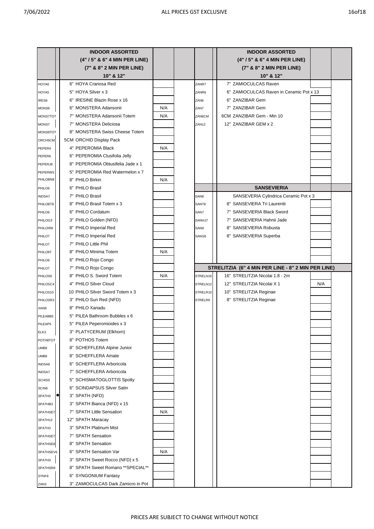|                  | <b>INDOOR ASSORTED</b>                               |     |                   | <b>INDOOR ASSORTED</b>                             |     |  |
|------------------|------------------------------------------------------|-----|-------------------|----------------------------------------------------|-----|--|
|                  | (4" / 5" & 6" 4 MIN PER LINE)                        |     |                   | (4"/5" & 6" 4 MIN PER LINE)                        |     |  |
|                  | (7" & 8" 2 MIN PER LINE)                             |     |                   | (7" & 8" 2 MIN PER LINE)                           |     |  |
|                  | 10" & 12"                                            |     |                   | 10" & 12"                                          |     |  |
| HOYA6            | 6" HOYA Cranosa Red                                  |     | ZANR7             | 7" ZAMIOCULCAS Raven                               |     |  |
| HOYA5            | 5" HOYA Silver x 3                                   |     | ZANR6             | ZAMIOCULCAS Raven in Ceramic Pot x 13<br>6"        |     |  |
| IRES6            | 6" IRESINE Blazin Rose x 16                          |     | ZAN <sub>6</sub>  | ZANZIBAR Gem<br>6"                                 |     |  |
| MONS6            | 6" MONSTERA Adansonii                                | N/A | ZAN7              | 7" ZANZIBAR Gem                                    |     |  |
| <b>MONS7TOT</b>  | 7" MONSTERA Adansonii Totem                          | N/A | ZAN6CM            | 6CM ZANZIBAR Gem - Min 10                          |     |  |
| MONS7            | 7" MONSTERA Deliciosa                                |     | ZAN <sub>12</sub> | 12" ZANZIBAR GEM x 2                               |     |  |
| MONS8TOT         | 8" MONSTERA Swiss Cheese Totem                       |     |                   |                                                    |     |  |
| ORCH5CM          | 5CM ORCHID Display Pack                              |     |                   |                                                    |     |  |
| PEPER4           | 4" PEPEROMIA Black                                   | N/A |                   |                                                    |     |  |
| PEPER6           | 6" PEPEROMIA Clusifolia Jelly                        |     |                   |                                                    |     |  |
| PEPERJ8          | 8" PEPEROMIA Obtusifelia Jade x 1                    |     |                   |                                                    |     |  |
| PEPERW5          | 5" PEPEROMIA Red Watermelon x 7                      |     |                   |                                                    |     |  |
| PHILOBN8         | 8" PHILO Birkin                                      | N/A |                   |                                                    |     |  |
| PHILO6           | 6" PHILO Brasil                                      |     |                   | <b>SANSEVIERIA</b>                                 |     |  |
| <b>INDSA7</b>    | 7" PHILO Brasil                                      |     | SANE              | SANSEVERIA Cylindrica Ceramic Pot x 3              |     |  |
| PHILOBT8         | 8" PHILO Brasil Totem x 3                            |     | SANT <sub>8</sub> | 8" SANSEVIERA Tri Laurentii                        |     |  |
| PHILO6           | 6" PHILO Cordatum                                    |     | SAN7              | 7" SANSEVIERIA Black Sword                         |     |  |
| PHILOG3          | 3" PHILO Golden (NFD)                                |     | SANHJ7            | 7" SANSEVIERIA Hahnii Jade                         |     |  |
| PHILOIR8         | 8" PHILO Imperial Red                                |     | SAN <sub>8</sub>  | SANSEVIERIA Robusta<br>8"                          |     |  |
| PHILO7           | 7" PHILO Imperial Red                                |     | SANS8             | 8" SANSEVIERIA Superba                             |     |  |
| PHILO7           | 7" PHILO Little Phil                                 |     |                   |                                                    |     |  |
| PHILO8T          | 8" PHILO Minima Totem                                | N/A |                   |                                                    |     |  |
|                  | 6" PHILO Rojo Congo                                  |     |                   |                                                    |     |  |
| PHILO6<br>PHILO7 | 7" PHILO Rojo Congo                                  |     |                   | STRELITZIA (6" 4 MIN PER LINE - 8" 2 MIN PER LINE) |     |  |
| PHILOS8          | 8" PHILO S. Sword Totem                              | N/A | STRELN16          | 16" STRELITZIA Nicolai 1.8 - 2m                    |     |  |
| PHILOSC4         | 4" PHILO Silver Cloud                                |     | STRELN12          | 12" STRELITZIA Nicolai X 1                         | N/A |  |
| PHILOS10         | 10 PHILO Silver Sword Totem x 3                      |     | STRELR10          | 10" STRELITZIA Reginae                             |     |  |
| PHILOSR3         | 3" PHILO Sun Red (NFD)                               |     | STRELR8           | 8" STRELITZIA Reginae                              |     |  |
|                  | 8" PHILO Xanadu                                      |     |                   |                                                    |     |  |
| XAN8             | 5" PILEA Bathroom Bubbles x 6                        |     |                   |                                                    |     |  |
| PILEABB5         | 5" PILEA Peperomioides x 3                           |     |                   |                                                    |     |  |
| PILEAP5          |                                                      |     |                   |                                                    |     |  |
| ELK3             | 3" PLATYCERUM (Elkhorn)                              |     |                   |                                                    |     |  |
| POTH8TOT         | 8" POTHOS Totem                                      |     |                   |                                                    |     |  |
| UMB8             | 8" SCHEFFLERA Alpine Junior                          |     |                   |                                                    |     |  |
| UMB8             | 8" SCHEFFLERA Amate                                  |     |                   |                                                    |     |  |
| INDSA6           | 6" SCHEFFLERA Arboricola<br>7" SCHEFFLERA Arboricola |     |                   |                                                    |     |  |
| <b>INDSA7</b>    |                                                      |     |                   |                                                    |     |  |
| SCHIS5           | 5" SCHISMATOGLOTTIS Spotty                           |     |                   |                                                    |     |  |
| SCIN6            | 6" SCINDAPSUS Silver Satin                           |     |                   |                                                    |     |  |
| SPATH3           | 3" SPATH (NFD)                                       |     |                   |                                                    |     |  |
| SPATHB3          | 3" SPATH Bianca (NFD) x 15                           |     |                   |                                                    |     |  |
| SPATHSE7         | 7" SPATH Little Sensation                            | N/A |                   |                                                    |     |  |
| SPATH12          | 12" SPATH Maracay                                    |     |                   |                                                    |     |  |
| SPATH3           | 3" SPATH Platinum Mist                               |     |                   |                                                    |     |  |
| SPATHSE7         | 7" SPATH Sensation                                   |     |                   |                                                    |     |  |
| SPATHSE8         | 8" SPATH Sensation                                   |     |                   |                                                    |     |  |
| SPATHSEV6        | 6" SPATH Sensation Var                               | N/A |                   |                                                    |     |  |
| SPATH3           | 3" SPATH Sweet Rocco (NFD) x 5                       |     |                   |                                                    |     |  |
| SPATHSR8         | 8" SPATH Sweet Romano ** SPECIAL**                   |     |                   |                                                    |     |  |
| SYNF6            | 6" SYNGONIUM Fantasy                                 |     |                   |                                                    |     |  |
| ZAN3             | 3" ZAMIOCULCAS Dark Zamicro in Pot                   |     |                   |                                                    |     |  |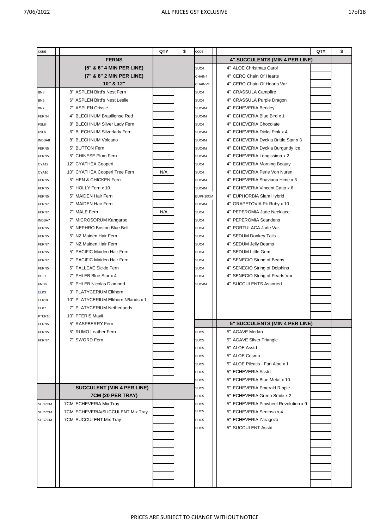|  | ۰. | ı | ۰. |
|--|----|---|----|
|  |    |   |    |

| CODE              |                                     |     | QTY<br>\$<br>CODE |                  | QTY                                  | \$ |
|-------------------|-------------------------------------|-----|-------------------|------------------|--------------------------------------|----|
|                   | <b>FERNS</b>                        |     |                   |                  | 4" SUCCULENTS (MIN 4 PER LINE)       |    |
|                   | (5" & 6" 4 MIN PER LINE)            |     |                   | SUC4             | 4" ALOE Christmas Carol              |    |
|                   | (7" & 8" 2 MIN PER LINE)            |     |                   | CHAIN4           | 4" CERO Chain Of Hearts              |    |
|                   | 10" & 12"                           |     |                   | CHAINV4          | 4" CERO Chain Of Hearts Var          |    |
| BN <sub>8</sub>   | 8" ASPLEN Bird's Nest Fern          |     |                   | SUC4             | 4" CRASSULA Campfire                 |    |
| BN <sub>6</sub>   | 6" ASPLEN Bird's Nest Leslie        |     |                   | SUC4             | 4" CRASSULA Purple Dragon            |    |
| BN7               | 7" ASPLEN Crissie                   |     |                   | SUC4M            | 4" ECHEVERIA Berkley                 |    |
| FERN4             | 4" BLECHNUM Brasiliense Red         |     |                   | SUC4M            | 4" ECHEVERIA Blue Bird x 1           |    |
| FSL8              | 8" BLECHNUM Silver Lady Fern        |     |                   | SUC4             | 4" ECHEVERIA Chocolate               |    |
| FSL6              | 6" BLECHNUM Silverlady Fern         |     |                   | SUC4M            | 4" ECHEVERIA Dicks Pink x 4          |    |
| <b>INDSA8</b>     | 8" BLECHNUM Volcano                 |     |                   | SUC4M            | 4" ECHEVERIA Dyckia Brittle Star x 3 |    |
| FERN <sub>5</sub> | 5" BUTTON Fern                      |     |                   | SUC4M            | 4" ECHEVERIA Dyckia Burgundy Ice     |    |
| FERN <sub>5</sub> | 5" CHINESE Plum Fern                |     |                   | SUC4M            | 4" ECHEVERIA Longissima x 2          |    |
| CYA12             | 12" CYATHEA Cooperi                 |     |                   | SUC4             | 4" ECHEVERIA Morning Beauty          |    |
| CYA10             | 10" CYATHEA Cooperi Tree Fern       | N/A |                   | SUC4             | 4" ECHEVERIA Perle Von Nuren         |    |
| FERN <sub>5</sub> | 5" HEN & CHICKEN Fern               |     |                   | SUC4M            | 4" ECHEVERIA Shaviana Hime x 3       |    |
| FERN <sub>5</sub> | 5" HOLLY Fern x 10                  |     |                   | SUC4M            | 4" ECHEVERIA Vincent Catto x 6       |    |
| FERN <sub>5</sub> | 5" MAIDEN Hair Fern                 |     |                   | EUPH10CM         | 4" EUPHORBIA Siam Hybrid             |    |
| FERN7             | 7" MAIDEN Hair Fern                 |     |                   | SUC4M            | 4" GRAPETOVIA Pk Ruby x 10           |    |
| FERN7             | 7" MALE Fern                        | N/A |                   | SUC4             | 4" PEPEROMIA Jade Necklace           |    |
| <b>INDSA7</b>     | 7" MICROSORUM Kangaroo              |     |                   | SUC4             | 4" PEPEROMIA Scandens                |    |
| FERN <sub>5</sub> | 5" NEPHRO Boston Blue Bell          |     |                   | SUC4             | 4" PORTULACA Jade Var.               |    |
| FERN <sub>5</sub> | 5" NZ Maiden Hair Fern              |     |                   | SUC4             | 4" SEDUM Donkey Tails                |    |
| FERN7             | 7" NZ Maiden Hair Fern              |     |                   | SUC4             | 4" SEDUM Jelly Beams                 |    |
| FERN5             | 5" PACIFIC Maiden Hair Fern         |     |                   | SUC4             | 4" SEDUM Little Gem                  |    |
| FERN7             | 7" PACIFIC Maiden Hair Fern         |     |                   | SUC4             | 4" SENECIO String of Beans           |    |
| FERN5             | 5" PALLEAE Sickle Fern              |     |                   | SUC4             | 4" SENECIO String of Dolphins        |    |
| PHL7              | 7" PHLEB Blue Star x 4              |     |                   | SUC4             | 4" SENECIO String of Pearls Var      |    |
| FND6              | 6" PHLEB Nicolas Diamond            |     |                   | SUC4M            | 4" SUCCULENTS Assorted               |    |
| ELK3              | 3" PLATYCERIUM Elkhorn              |     |                   |                  |                                      |    |
| ELK10             | 10" PLATYCERIUM Elkhorn N/lands x 1 |     |                   |                  |                                      |    |
| ELK7              | 7" PLATYCERIUM Netherlands          |     |                   |                  |                                      |    |
| PTER10            | 10" PTERIS Mayii                    |     |                   |                  |                                      |    |
| FERN5             | 5" RASPBERRY Fern                   |     |                   |                  | 5" SUCCULENTS (MIN 4 PER LINE)       |    |
| FERN5             | 5" RUMO Leather Fern                |     |                   | SUC <sub>5</sub> | 5" AGAVE Medan                       |    |
| FERN7             | 7" SWORD Fern                       |     |                   | SUC <sub>5</sub> | 5" AGAVE Silver Triangle             |    |
|                   |                                     |     |                   | SUC <sub>5</sub> | 5" ALOE Asstd                        |    |
|                   |                                     |     |                   | SUC <sub>5</sub> | 5" ALOE Cosmo                        |    |
|                   |                                     |     |                   | SUC5             | 5" ALOE Pilcatis - Fan Aloe x 1      |    |
|                   |                                     |     |                   | SUC <sub>5</sub> | 5" ECHEVERIA Asstd                   |    |
|                   |                                     |     |                   | SUC5             | 5" ECHEVERIA Blue Metal x 10         |    |
|                   | <b>SUCCULENT (MIN 4 PER LINE)</b>   |     |                   | SUC <sub>5</sub> | 5" ECHEVERIA Emerald Ripple          |    |
|                   | 7CM (20 PER TRAY)                   |     |                   | SUC5             | 5" ECHEVERIA Green Smile x 2         |    |
| SUC7CM            | 7CM ECHEVERIA Mix Tray              |     |                   | SUC <sub>5</sub> | 5" ECHEVERIA Pinwheel Revolution x 9 |    |
| SUC7CM            | 7CM ECHEVERIA/SUCCULENT Mix Tray    |     |                   | SUC <sub>5</sub> | 5" ECHEVERIA Sentosa x 4             |    |
| <b>SUC7CM</b>     | 7CM SUCCULENT Mix Tray              |     |                   | SUC <sub>5</sub> | 5" ECHEVERIA Zaragoza                |    |
|                   |                                     |     |                   | SUC5             | 5" SUCCULENT Asstd                   |    |
|                   |                                     |     |                   |                  |                                      |    |
|                   |                                     |     |                   |                  |                                      |    |
|                   |                                     |     |                   |                  |                                      |    |
|                   |                                     |     |                   |                  |                                      |    |
|                   |                                     |     |                   |                  |                                      |    |
|                   |                                     |     |                   |                  |                                      |    |
|                   |                                     |     |                   |                  |                                      |    |